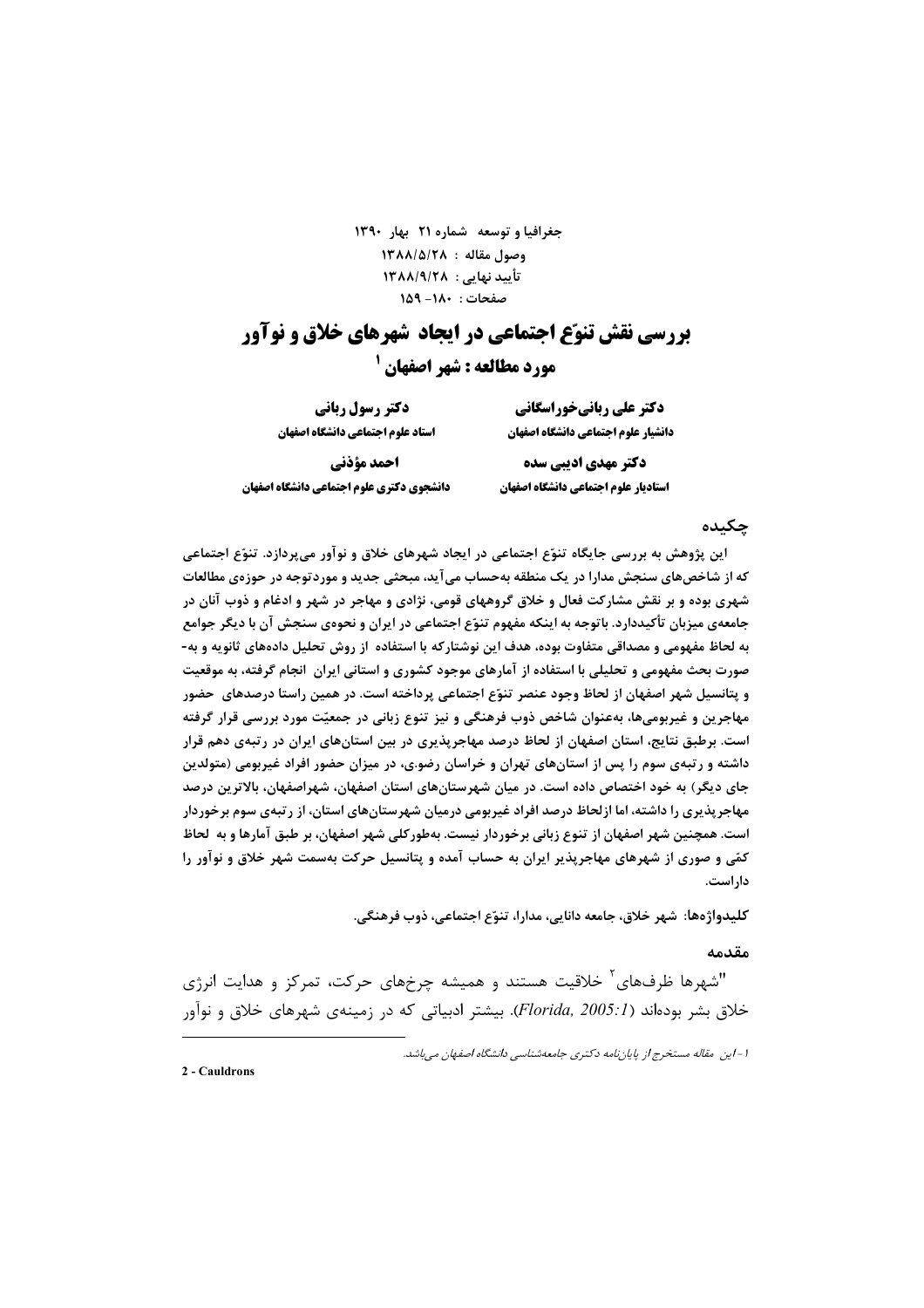جغرافیا و توسعه شماره ٢١ بهار ١٣٩٠ 1٣٨٨/٥/٢٨ : ٥/٢٨ تأیید نهایی : ۱۳۸۸/۹/۲۸ صفحات: ١٨٠- ١۵٩

# **بررسی نقش تنوّع احتماعی در ایجاد شهرهای خلاق و نوآور مورد مطالعه : شهر اصفهان <sup>1</sup>**

دکتر علی ربانیخوراسگانی دانشيار علوم اجتماعي دانشگاه اصفهان

استاد علوم اجتماعي دانشكاه اصفهان احمد مؤذني دانشجوي دكتري علوم اجتماعي دانشگاه اصفهان

دکتر رسول ربانی

دکتر مهدی ادیبی سده استاديار علوم اجتماعي دانشكاه اصفهان

## حكىدە

این پژوهش به بررسی جایگاه تنوّع اجتماعی در ایجاد شهرهای خلاق و نوآور می بردازد. تنوّع اجتماعی **که از شاخصهای سنجش مدارا در یک منطقه بهحساب میآید، مبحثی جدید و موردتوجه در حوزهی مطالعات** شهری بوده و بر نقش مشارکت فعال و خلاق گروههای قومی، نژادی و مهاجر در شهر و ادغام و ذوب آنان در جامعهی میزبان تأکیددارد. باتوجه به اینکه مفهوم تنوّع اجتماعی در ایران و نحوهی سنجش آن با دیگر جوامع به لحاظ مفهومی و مصداقی متفاوت بوده، هدف این نوشتارکه با استفاده از روش تحلیل دادههای ثانویه و به-صورت بحث مفهومی و تحلیلی با استفاده از آمارهای موجود کشوری و استانی ایران انجام گرفته، به موقعیت و پتانسیل شهر اصفهان از لحاظ وجود عنصر تنوّع اجتماعی پرداخته است. در همین راستا درصدهای حضور مهاجرین و غیربومیها، بهعنوان شاخص ذوب فرهنگی و نیز تنوع زبانی در جمعیّت مورد بررسی قرار گرفته است. برطبق نتایج، استان اصفهان از لحاظ درصد مهاجریذیری در بین استانهای ایران در رتبهی دهم قرار داشته و رتبهی سوم را پس از استانهای تهران و خراسان رضو.ی، در میزان حضور افراد غیربومی (متولدین جای دیگر) به خود اختصاص داده است. در میان شهرستانهای استان اصفهان، شهراصفهان، بالاترین درصد مهاجرپذیری را داشته، اما ازلحاظ درصد افراد غیربومی درمیان شهرستانهای استان، از رتبهی سوم برخوردار است. همچنین شهر اصفهان از تنوع زبانی برخوردار نیست. بهطورکلی شهر اصفهان، بر طبق آمارها و به لحاظ کمّی و صوری از شهرهای مهاجریذیر ایران به حساب آمده و پتانسیل حرکت بهسمت شهر خلاق و نوآور را داراست.

كليدواژەها: شهر خلاق، جامعه دانايي، مدارا، تنوّع اجتماعي، ذوب فرهنگي.

#### مقدمه

"شهرها ظرفهای ٰ خلاقیت هستند و همیشه چرخهای حرکت، تمرکز و هدایت انرژی خلاق بشر بودهاند (Florida, 2005:1). بیشتر ادبیاتی که در زمینهی شهرهای خلاق و نوآور

2 - Cauldrons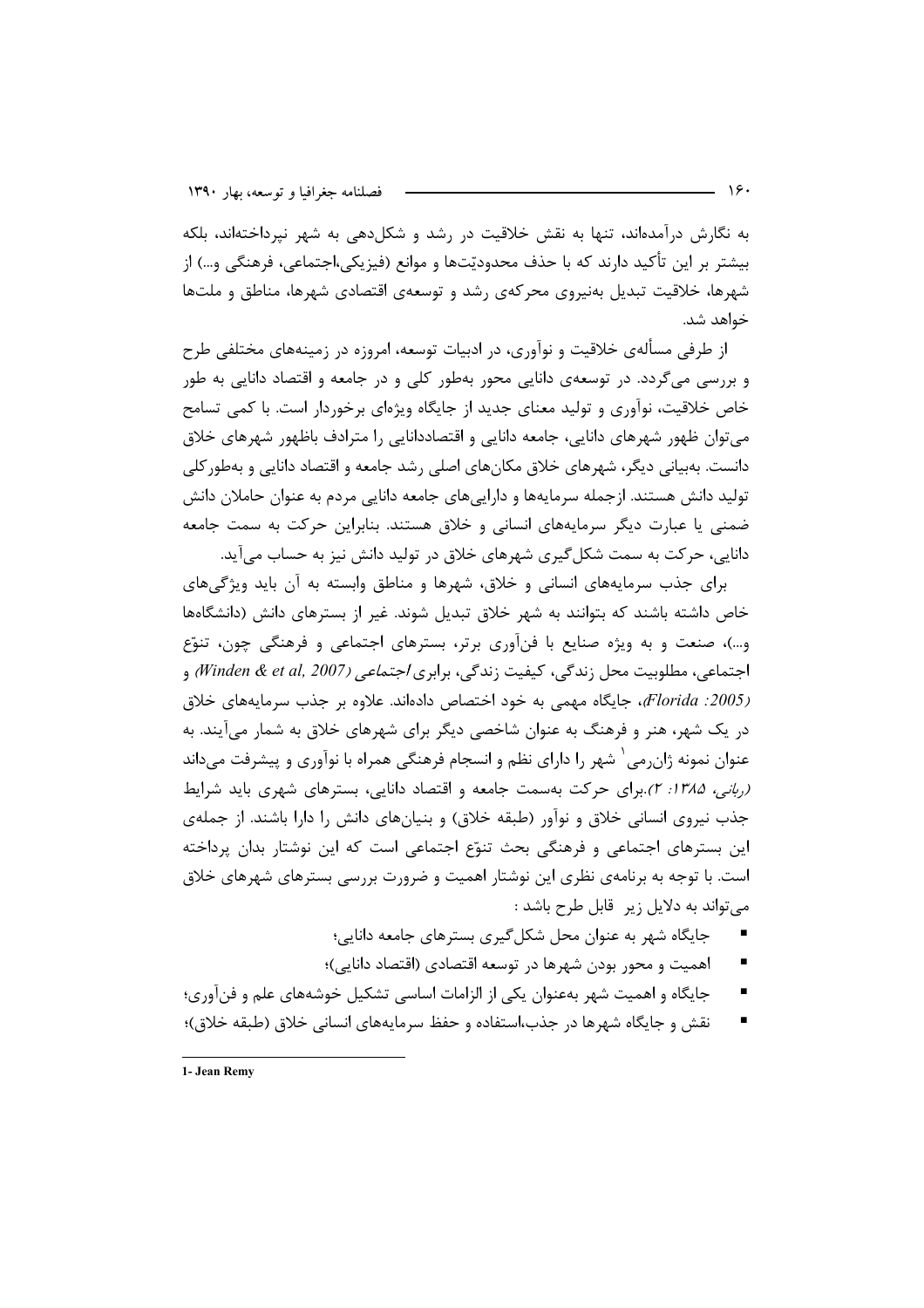به نگارش درآمدهاند، تنها به نقش خلاقیت در رشد و شکل۵هی به شهر نیرداختهاند، بلکه بیشتر بر این تأکید دارند که با حذف محدودیّتها و موانع (فیزیکی،اجتماعی، فرهنگی و…) از شهرها، خلاقیت تبدیل بەنیروی محرکەی رشد و توسعەی اقتصادی شهرها، مناطق و ملتھا خواهد شد.

از طرفی مسألهی خلاقیت و نوآوری، در ادبیات توسعه، امروزه در زمینههای مختلفی طرح و بررسی میگردد. در توسعهی دانایی محور بهطور کلی و در جامعه و اقتصاد دانایی به طور خاص خلاقیت، نوآوری و تولید معنای جدید از جایگاه ویژهای برخوردار است. با کمی تسامح مے توان ظهور شهرهای دانایے، جامعه دانایی و اقتصاددانایی را مترادف باظهور شهرهای خلاق دانست. بهبیانی دیگر، شهرهای خلاق مکانهای اصلی رشد جامعه و اقتصاد دانایی و بهطور کلی تولید دانش هستند. ازجمله سرمایهها و داراییهای جامعه دانایی مردم به عنوان حاملان دانش ضمنی یا عبارت دیگر سرمایههای انسانی و خلاق هستند. بنابراین حرکت به سمت جامعه دانایی، حرکت به سمت شکل گیری شهرهای خلاق در تولید دانش نیز به حساب می آید.

برای جذب سرمایههای انسانی و خلاق، شهرها و مناطق وابسته به آن باید ویژگیهای خاص داشته باشند که بتوانند به شهر خلاق تبدیل شوند. غیر از بسترهای دانش (دانشگاهها و…)، صنعت و به ویژه صنایع با فنآوری برتر، بسترهای اجتماعی و فرهنگی چون، تنوّع اجتماعي، مطلوبيت محل زندگي، كيفيت زندگي، برابري *اجتماعي (Winden & et al, 2007)* و (2005: Florida)، جایگاه مهمی به خود اختصاص دادهاند. علاوه بر جذب سرمایههای خلاق در یک شهر، هنر و فرهنگ به عنوان شاخصی دیگر برای شهرهای خلاق به شمار می آیند. به عنوان نمونه ژان٫می ٔ شهر را دارای نظم و انسجام فرهنگی همراه با نوآوری و پیشرفت می،داند (ربانی، ۱۳۸۵: ۲) برای حرکت بهسمت جامعه و اقتصاد دانایی، بسترهای شهری باید شرایط جذب نیروی انسانی خلاق و نوآور (طبقه خلاق) و بنیانهای دانش را دارا باشند. از جملهی این بسترهای اجتماعی و فرهنگی بحث تنوّع اجتماعی است که این نوشتار بدان پرداخته است. با توجه به برنامهی نظری این نوشتار اهمیت و ضرورت بررسی بسترهای شهرهای خلاق می تواند به دلایل زیر قابل طرح باشد :

- جایگاه شهر به عنوان محل شکل گیری بسترهای جامعه دانایی؛
- اهمیت و محور بودن شهرها در توسعه اقتصادی (اقتصاد دانایی)؛
- $\blacksquare$ جایگاه و اهمیت شهر بهعنوان یکی از الزامات اساسی تشکیل خوشههای علم و فن آوری؛
- نقش و جایگاه شهرها در جذب،استفاده و حفظ سرمایههای انسانی خلاق (طبقه خلاق)؛

1- Jean Remy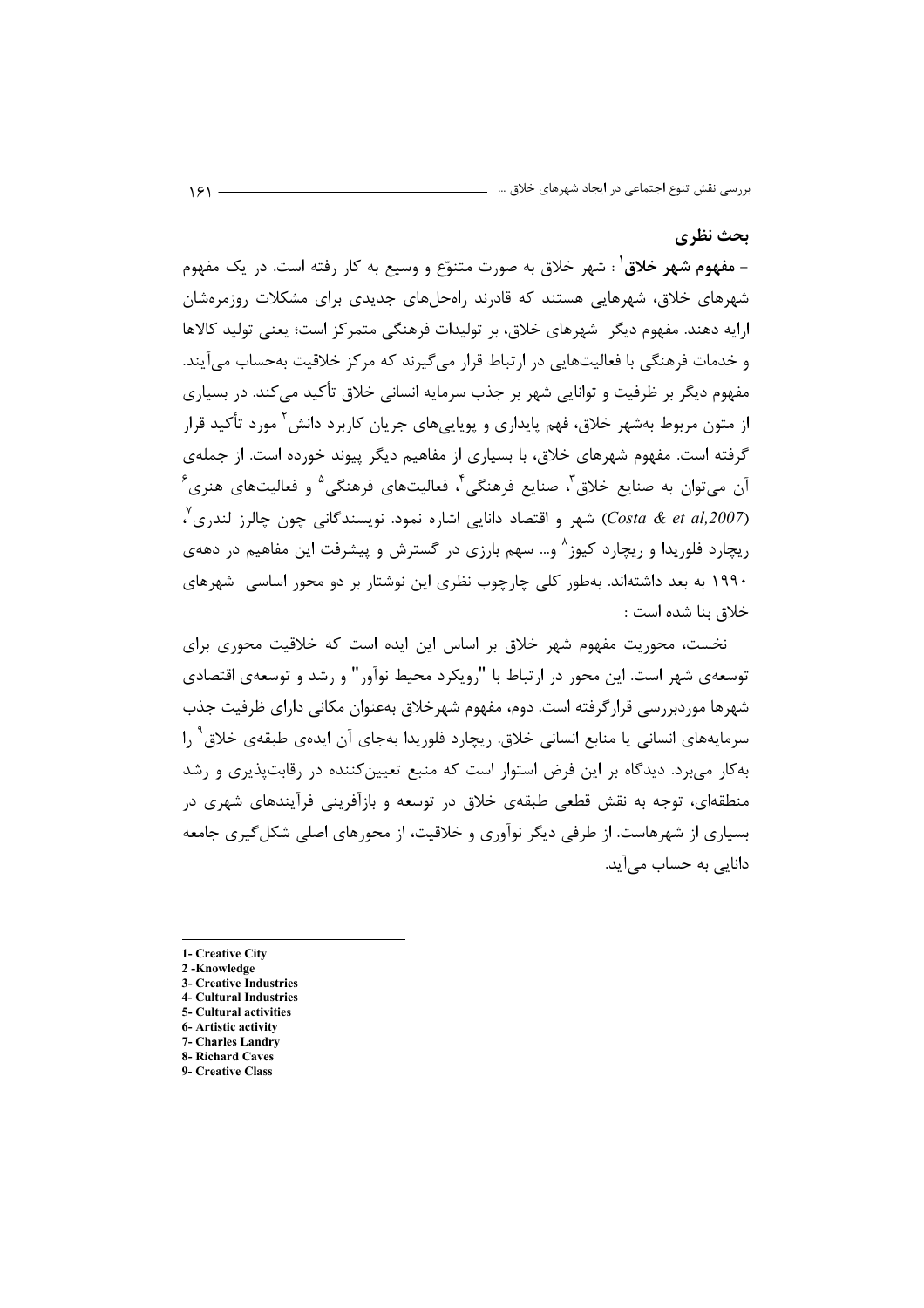#### يحث نظري

- مفهوم شهر خلاق<sup>۱</sup> : شهر خلاق به صورت متنوّع و وسیع به کار رفته است. در یک مفهوم شهرهای خلاق، شهرهایی هستند که قادرند راهحلهای جدیدی برای مشکلات روزمرهشان ارایه دهند. مفهوم دیگر شهرهای خلاق، بر تولیدات فرهنگی متمر کز است؛ یعنی تولید کالاها و خدمات فرهنگی با فعالیتهایی در ارتباط قرار میگیرند که مرکز خلاقیت بهحساب می آیند. مفهوم دیگر بر ظرفیت و توانایی شهر بر جذب سرمایه انسانی خلاق تأکید می کند. در بسیاری از متون مربوط بهشهر خلاق، فهم پایداری و پویاییهای جریان کاربرد دانش ٰ مورد تأکید قرار گرفته است. مفهوم شهرهای خلاق، با بسیاری از مفاهیم دیگر پیوند خورده است. از جملهی  $\,{}^{\circ}\,$ آن میتوان به صنایع خلاق آ، صنایع فرهنگی ٔ، فعالیتهای فرهنگی $\,{}^{\circ}\,$  و فعالیتهای هنری (Costa & et al,2007) شهر و اقتصاد دانایی اشاره نمود. نویسندگانی چون چالرز لندری ٌ، ریچارد فلوریدا و ریچارد کیوز^ و… سهم بارزی در گسترش و پیشرفت این مفاهیم در دههی ۱۹۹۰ به بعد داشتهاند. بهطور کلی چارچوب نظری این نوشتار بر دو محور اساسی شهرهای خلاق بنا شده است :

نخست، محوریت مفهوم شهر خلاق بر اساس این ایده است که خلاقیت محوری برای توسعهی شهر است. این محور در ارتباط با "رویکرد محیط نوآور" و رشد و توسعهی اقتصادی شهرها موردبررسی قرارگرفته است. دوم، مفهوم شهرخلاق بهعنوان مکانی دارای ظرفیت جذب سرمایههای انسانی یا منابع انسانی خلاق. ریچارد فلوریدا بهجای آن ایدهی طبقهی خلاق ` را به کار می برد. دیدگاه بر این فرض استوار است که منبع تعیین کننده در رقابت پذیری و رشد منطقهای، توجه به نقش قطعی طبقهی خلاق در توسعه و بازآفرینی فرآیندهای شهری در بسیاری از شهرهاست. از طرفی دیگر نوآوری و خلاقیت، از محورهای اصلی شکل گیری جامعه دانایی به حساب می آید.

- 1- Creative City
- 2-Knowledge
- 3- Creative Industries
- **4- Cultural Industries** 5- Cultural activities
- 6- Artistic activity
- 7- Charles Landry
- 8- Richard Caves
- 9- Creative Class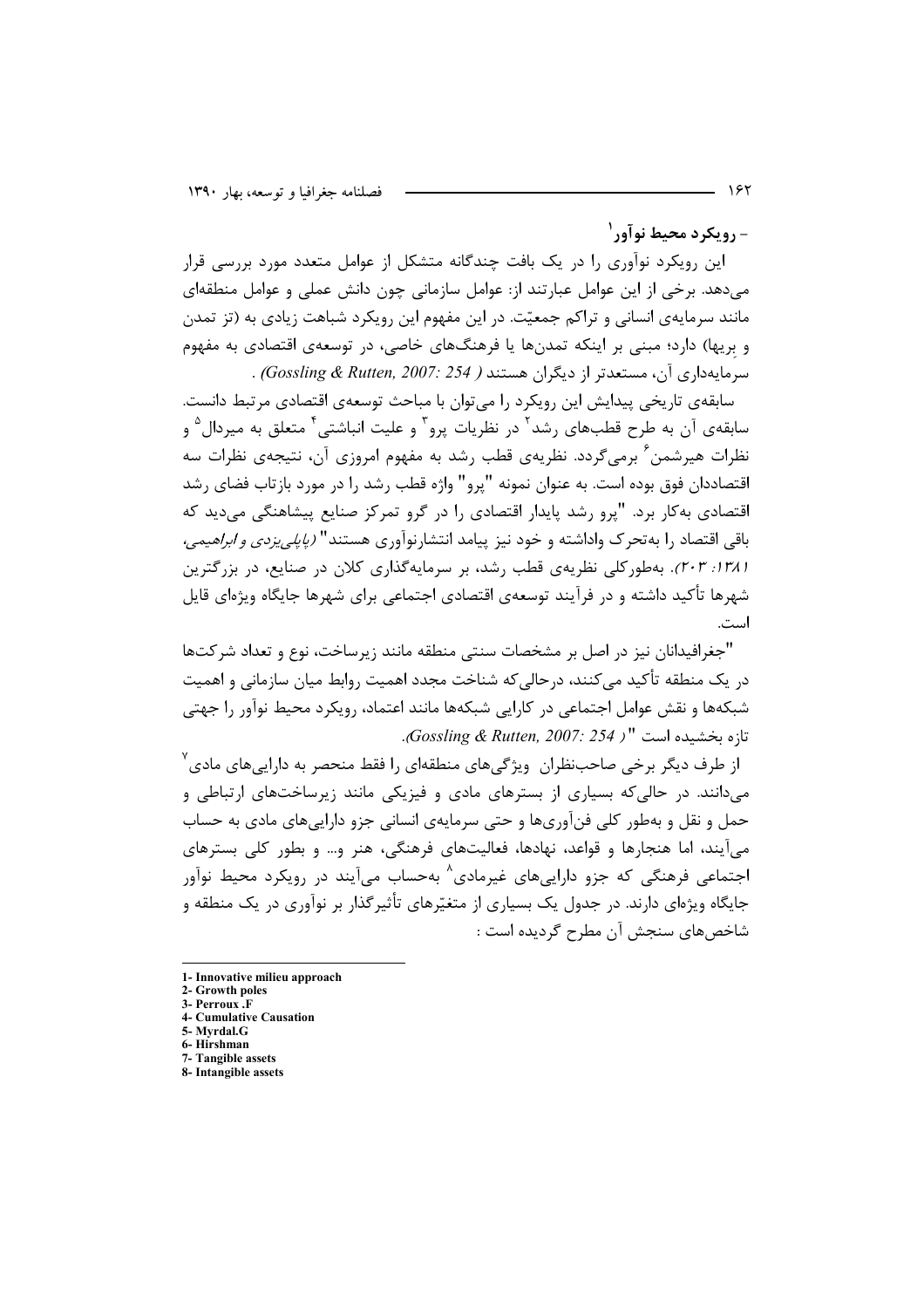- ۱٫۰ مکرد محیط نوآور<sup>۱</sup>

این رویکرد نوآوری را در یک بافت چندگانه متشکل از عوامل متعدد مورد بررسی قرار می دهد. برخی از این عوامل عبارتند از: عوامل سازمانی چون دانش عملی و عوامل منطقهای مانند سرمایهی انسانی و تراکم جمعیّت. در این مفهوم این رویکرد شباهت زیادی به (تز تمدن و بریها) دارد؛ مبنی بر اینکه تمدنها یا فرهنگهای خاصی، در توسعهی اقتصادی به مفهوم سرمایهداری آن، مستعدتر از دیگران هستند ( Gossling & Rutten, 2007: 254).

سابقهی تاریخی پیدایش این رویکرد را می توان با مباحث توسعهی اقتصادی مرتبط دانست. سابقهی آن به طرح قطبهای رشد<sup>۲</sup> در نظریات پرو<sup>۳</sup> و علیت انباشتی<sup>۴</sup> متعلق به میردال<sup>۵</sup> و نظرات هیرشمن<sup>۶</sup> برمی گردد. نظریهی قطب رشد به مفهوم امروزی آن، نتیجهی نظرات سه اقتصاددان فوق بوده است. به عنوان نمونه "پرو" واژه قطب رشد را در مورد بازتاب فضای رشد اقتصادی به کار برد. "پرو رشد پایدار اقتصادی را در گرو تمرکز صنایع پیشاهنگی می دید که باقی اقتصاد را به تحرک واداشته و خود نیز پیامد انتشارنوآوری هستند" *(پایلی یزدی و ابراهیمی،* ۱۳۸۱: ۲۰۳). بهطورکلی نظریهی قطب رشد، بر سرمایهگذاری کلان در صنایع، در بزرگترین شهرها تأکید داشته و در فرآیند توسعهی اقتصادی اجتماعی برای شهرها جایگاه ویژهای قایل است.

"جغرافیدانان نیز در اصل بر مشخصات سنتی منطقه مانند زیرساخت، نوع و تعداد شرکتها در یک منطقه تأکید می کنند، درحالی که شناخت مجدد اهمیت روابط میان سازمانی و اهمیت شبکهها و نقش عوامل اجتماعی در کارایی شبکهها مانند اعتماد، رویکرد محیط نوآور را جهتی تازه بخشیده است " ( Gossling & Rutten, 2007: 254).

از طرف دیگر برخی صاحبنظران ویژگیهای منطقهای را فقط منحصر به داراییهای مادی<sup>۷</sup> می دانند. در حالی که بسیاری از بسترهای مادی و فیزیکی مانند زیرساختهای ارتباطی و حمل و نقل و بهطور کلی فنآوریها و حتی سرمایهی انسانی جزو داراییهای مادی به حساب می آیند، اما هنجارها و قواعد، نهادها، فعالیتهای فرهنگی، هنر و… و بطور کلی بسترهای اجتماعي فرهنگي که جزو دارايي هاي غيرمادي<sup>^</sup> بهحساب مي]َيند در رويکرد محيط نوآور جایگاه ویژهای دارند. در جدول یک بسیاری از متغیّرهای تأثیرگذار بر نوآوری در یک منطقه و شاخصهاي سنجش آن مطرح گرديده است :

<sup>1-</sup> Innovative milieu approach

<sup>2-</sup> Growth poles 3- Perroux .F

<sup>4-</sup> Cumulative Causation

<sup>5-</sup> Myrdal.G

<sup>6-</sup>Hirshman

<sup>7-</sup> Tangible assets

<sup>8-</sup> Intangible assets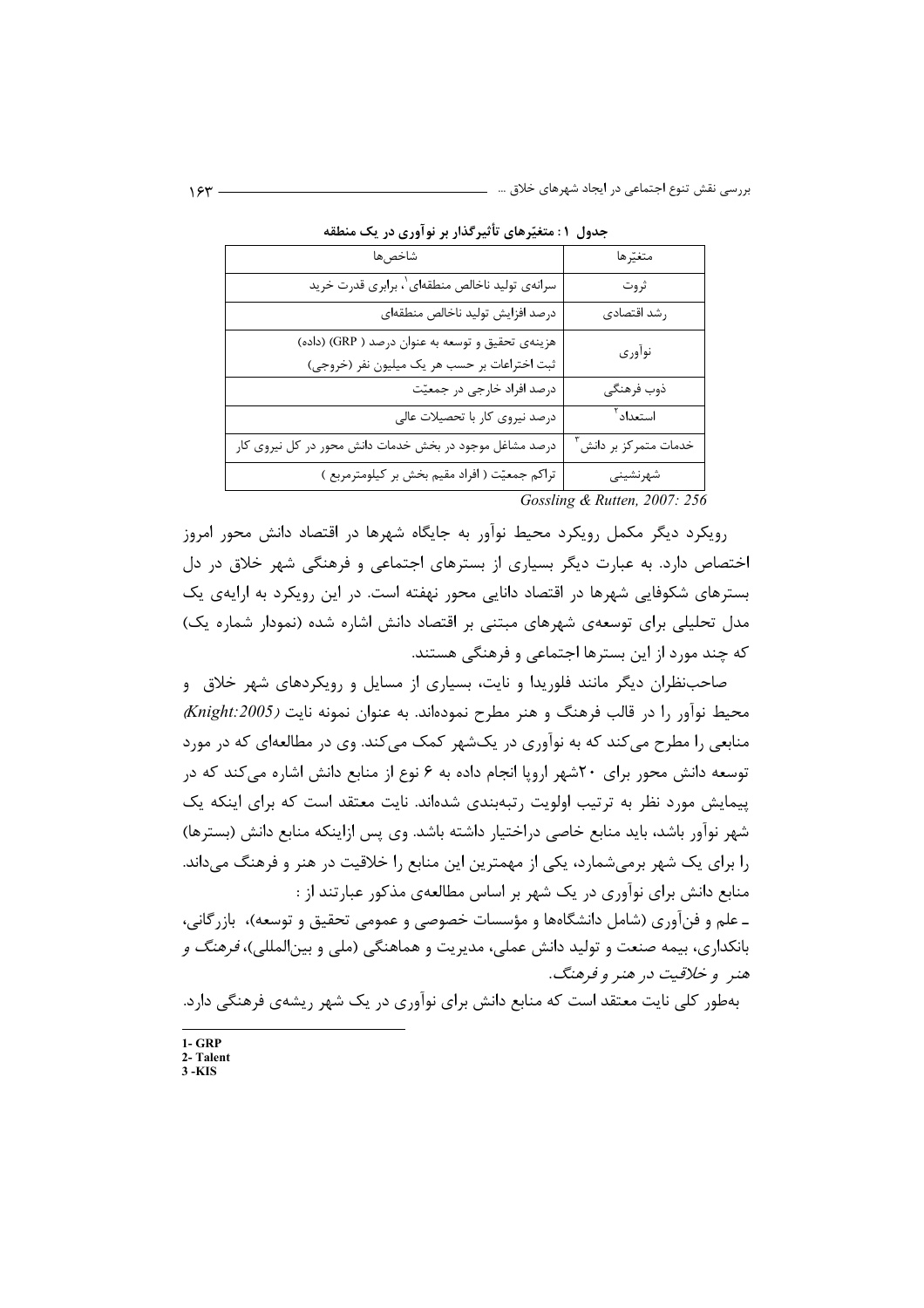| . <i>.</i><br>…ر دی …ر                                  |                      |
|---------------------------------------------------------|----------------------|
| شاخصها                                                  | متغيّرها             |
| سرانهي توليد ناخالص منطقهاي \، برابري قدرت خريد         | ثروت                 |
| درصد افزايش توليد ناخالص منطقهاى                        | رشد اقتصادي          |
| هزينهي تحقيق و توسعه به عنوان درصد ( GRP) (داده)        | نوأوري               |
| ثبت اختراعات بر حسب هر يک ميليون نفر (خروجي)            |                      |
| درصد افراد خارجي در جمعيّت                              | ذوب فرهنگى           |
| درصد نیروی کار با تحصیلات عالی                          | استعداد <sup>٢</sup> |
| درصد مشاغل موجود در بخش خدمات دانش محور در کل نیروی کار | خدمات متمركز بر دانش |
| تراکم جمعیّت ( افراد مقیم بخش بر کیلومترمربع )          | شهرنشينى             |

| جدول ۱: متغیّرهای تأثیرگذار بر نوآوری در یک منطقه |  |  |  |
|---------------------------------------------------|--|--|--|
|---------------------------------------------------|--|--|--|

Gossling & Rutten, 2007: 256

رویکرد دیگر مکمل رویکرد محیط نوآور به جایگاه شهرها در اقتصاد دانش محور امروز اختصاص دارد. به عبارت دیگر بسیاری از بسترهای اجتماعی و فرهنگی شهر خلاق در دل بسترهای شکوفایی شهرها در اقتصاد دانایی محور نهفته است. در این رویکرد به ارایهی یک مدل تحلیلی برای توسعهی شهرهای مبتنی بر اقتصاد دانش اشاره شده (نمودار شماره یک) که چند مورد از این بسترها اجتماعی و فرهنگی هستند.

صاحب نظران دیگر مانند فلوریدا و نایت، بسیاری از مسایل و رویکردهای شهر خلاق و  $\langle$  محیط نوآور را در قالب فرهنگ و هنر مطرح نمودهاند. به عنوان نمونه نایت (Knight:2005) منابعي را مطرح مي كند كه به نوآوري در يكشهر كمك مي كند. وي در مطالعهاي كه در مورد توسعه دانش محور برای ۲۰شهر اروپا انجام داده به ۶ نوع از منابع دانش اشاره می کند که در پیمایش مورد نظر به ترتیب اولویت رتبهبندی شدهاند. نایت معتقد است که برای اینکه یک شهر نوآور باشد، باید منابع خاصی دراختیار داشته باشد. وی پس ازاینکه منابع دانش (بسترها) را برای یک شهر برمی شمارد، یکی از مهمترین این منابع را خلاقیت در هنر و فرهنگ می داند. منابع دانش برای نوآوری در یک شهر بر اساس مطالعهی مذکور عبارتند از : ـ علم و فنآوري (شامل دانشگاهها و مؤسسات خصوصي و عمومي تحقيق و توسعه)، بازرگاني،

بانکداری، بیمه صنعت و تولید دانش عملی، مدیریت و هماهنگی (ملی و بینالمللی)، *فرهنگ و* هنر و خلاقیت در هنر و فرهنگ.

بهطور کلی نایت معتقد است که منابع دانش برای نوآوری در یک شهر ریشهی فرهنگی دارد.

 $1 - GRP$ 

 $2 -$ Talent  $3 - KIS$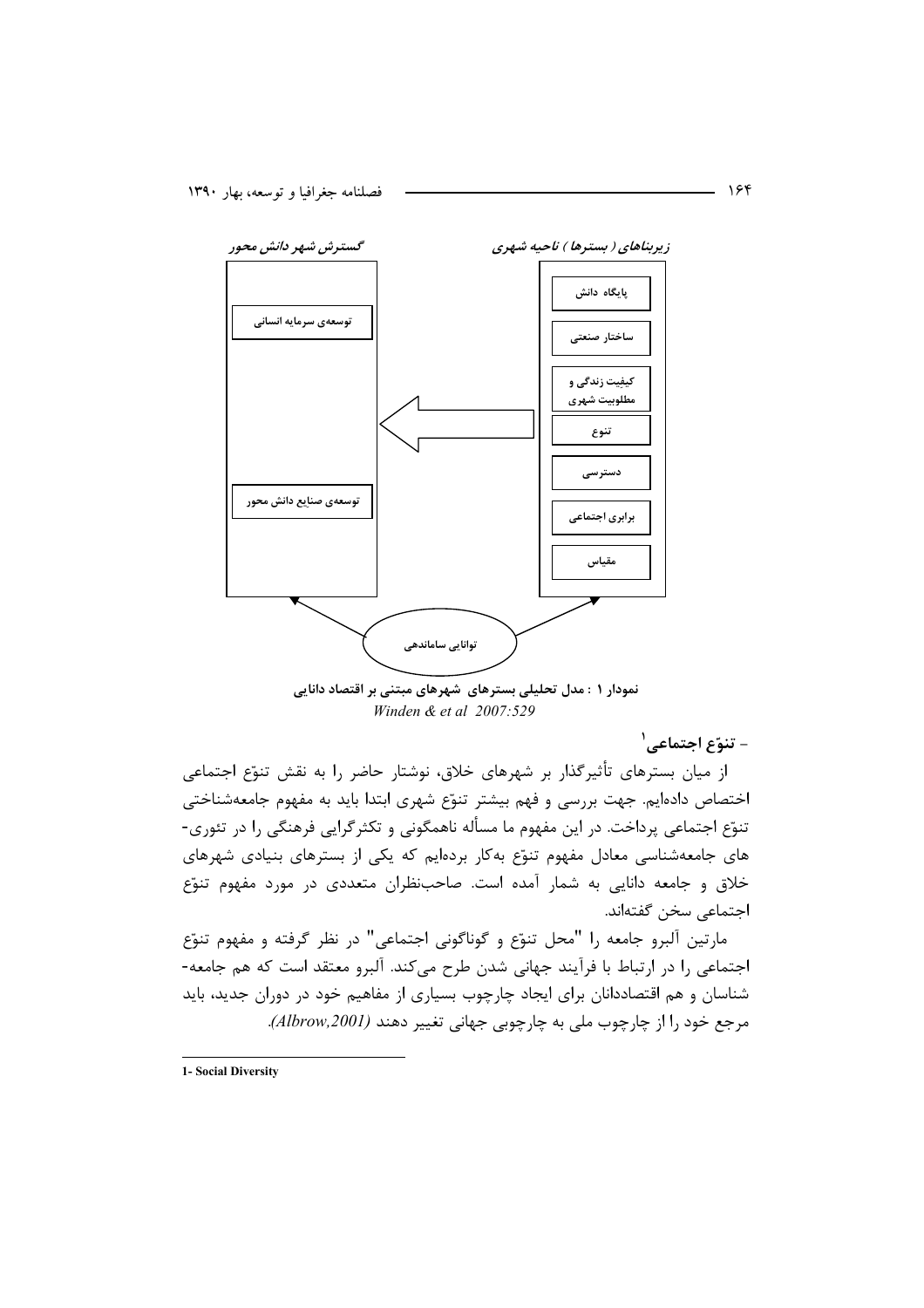

نمودار ۱ : مدل تحلیلی بسترهای شهرهای مبتنی بر اقتصاد دانایی Winden & et al  $2007:529$ 

- تنوّع اجتماعي<sup>'</sup>

از میان بسترهای تأثیرگذار بر شهرهای خلاق، نوشتار حاضر را به نقش تنوّع اجتماعی اختصاص دادهایم. جهت بررسی و فهم بیشتر تنوّع شهری ابتدا باید به مفهوم جامعهشناختی تنوّع اجتماعی پرداخت. در این مفهوم ما مسأله ناهمگونی و تکثرگرایی فرهنگی را در تئوری-های جامعهشناسی معادل مفهوم تنوّع به کار بردهایم که یکی از بسترهای بنیادی شهرهای خلاق و جامعه دانایی به شمار آمده است. صاحبنظران متعددی در مورد مفهوم تنوّع اجتماعي سخن گفتهاند.

مارتين آلبرو جامعه را "محل تنوّع و گوناگوني اجتماعي" در نظر گرفته و مفهوم تنوّع اجتماعی را در ارتباط با فرآیند جهانی شدن طرح میکند. آلبرو معتقد است که هم جامعه-شناسان و هم اقتصاددانان برای ایجاد چارچوب بسیاری از مفاهیم خود در دوران جدید، باید مرجع خود را از چارچوب ملي به چارچوبي جهاني تغيير دهند (Albrow,2001).

1- Social Diversity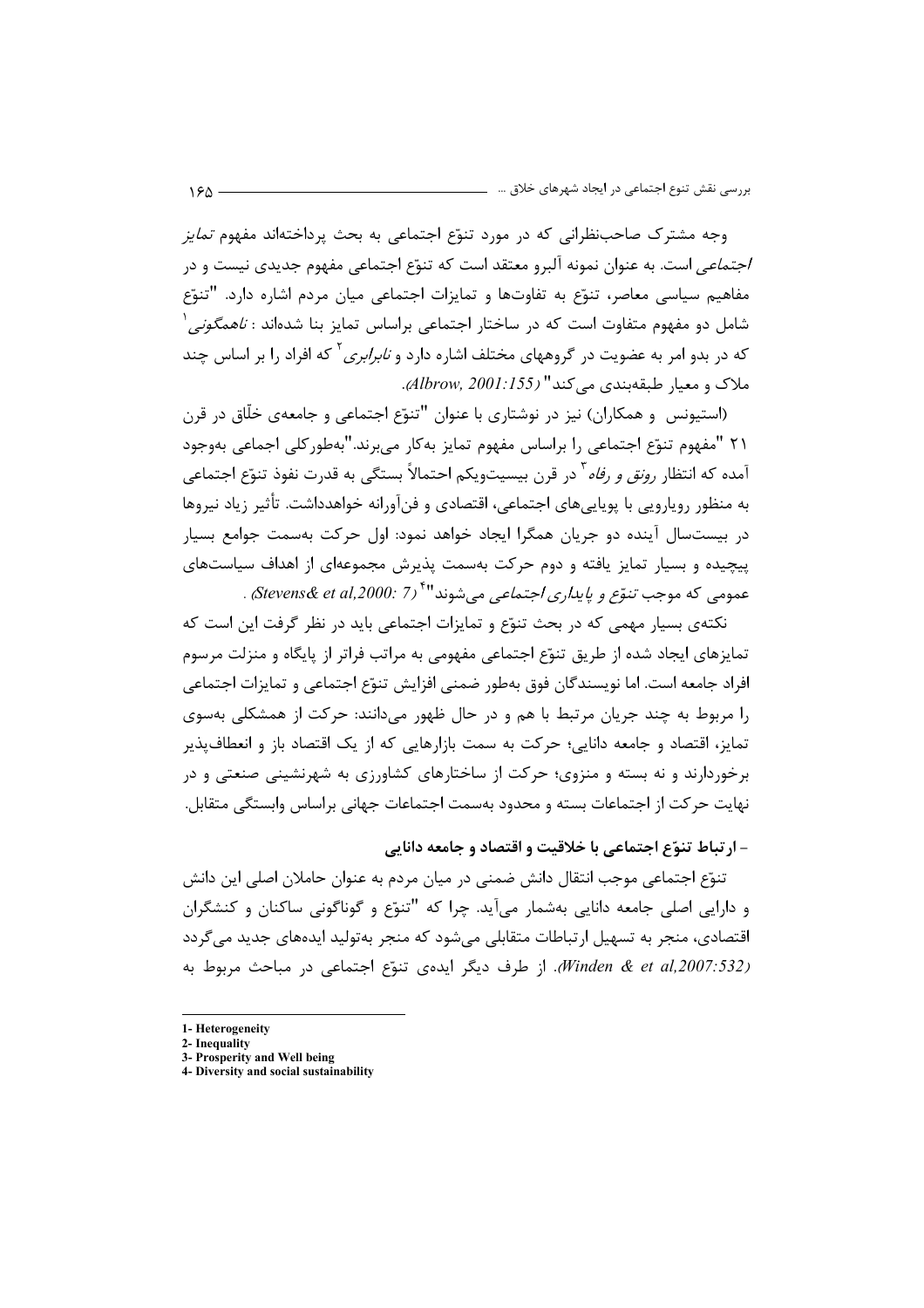وجه مشترک صاحبنظرانی که در مورد تنوّع اجتماعی به بحث پرداختهاند مفهوم *تمایز* /*جتماعي* است. به عنوان نمونه آلبرو معتقد است كه تنوّع اجتماعي مفهوم جديدي نيست و در مفاهیم سیاسی معاصر، تنوّع به تفاوتها و تمایزات اجتماعی میان مردم اشاره دارد. "تنوّع شامل دو مفهوم متفاوت است که در ساختار اجتماعی براساس تمایز بنا شدهاند : *ناهمگونی `* که در بدو امر به عضویت در گروههای مختلف اشاره دارد و *نابرابری* <sup>۲</sup> که افراد را بر اساس چند ملاک و معیار طبقهبندی مے کند" (Albrow, 2001:155).

(استیونس و همکاران) نیز در نوشتاری با عنوان "تنوّع اجتماعی و جامعهی خلّاق در قرن ٢١ "مفهوم تنوّع اجتماعي را براساس مفهوم تمايز بهكار مىبرند."بهطوركلي اجماعي بهوجود آمده که انتظا<sub>د</sub> ر*ونق و رفاه* <sup>۳</sup> در قرن بیسیتویکم احتمالاً بستگی به قدرت نفوذ تنوّع اجتماعی به منظور رویارویی با پویاییهای اجتماعی، اقتصادی و فنآورانه خواهدداشت. تأثیر زیاد نیروها در بيستسال آينده دو جريان همگرا ايجاد خواهد نمود: اول حركت بهسمت جوامع بسيار ییچیده و بسیار تمایز یافته و دوم حرکت بهسمت پذیرش مجموعهای از اهداف سیاستهای عمومي كه موجب تنوَّع و پ*ايدا<sub>ر</sub>ي اجتماعي* مي شوند"<sup>۶</sup> (Stevens& et al,2000: 7،

نکتهی بسیار مهمی که در بحث تنوّع و تمایزات اجتماعی باید در نظر گرفت این است که تمایزهای ایجاد شده از طریق تنوّع اجتماعی مفهومی به مراتب فراتر از پایگاه و منزلت مرسوم افراد جامعه است. اما نویسندگان فوق بهطور ضمنی افزایش تنوّع اجتماعی و تمایزات اجتماعی را مربوط به چند جریان مرتبط با هم و در حال ظهور میدانند: حرکت از همشکلی بهسوی تمایز، اقتصاد و جامعه دانایی؛ حرکت به سمت بازارهایی که از یک اقتصاد باز و انعطاف پذیر برخوردارند و نه بسته و منزوی؛ حرکت از ساختارهای کشاورزی به شهرنشینی صنعتی و در نهایت حرکت از اجتماعات بسته و محدود بهسمت اجتماعات جهانی براساس وابستگی متقابل.

- ارتباط تنوّع اجتماعي با خلاقيت و اقتصاد و جامعه دانايي

تنوّع اجتماعی موجب انتقال دانش ضمنی در میان مردم به عنوان حاملان اصلی این دانش و دارایی اصلی جامعه دانایی بهشمار می آید. چرا که "تنوّع و گوناگونی ساکنان و کنشگران اقتصادی، منجر به تسهیل ارتباطات متقابلی می شود که منجر به تولید ایدههای جدید می گردد Winden & et al, 2007:532). از طرف دیگر ایدهی تنوّع اجتماعی در مباحث مربوط به

<sup>1-</sup> Heterogeneity

<sup>2-</sup> Inequality

<sup>3-</sup> Prosperity and Well being 4- Diversity and social sustainability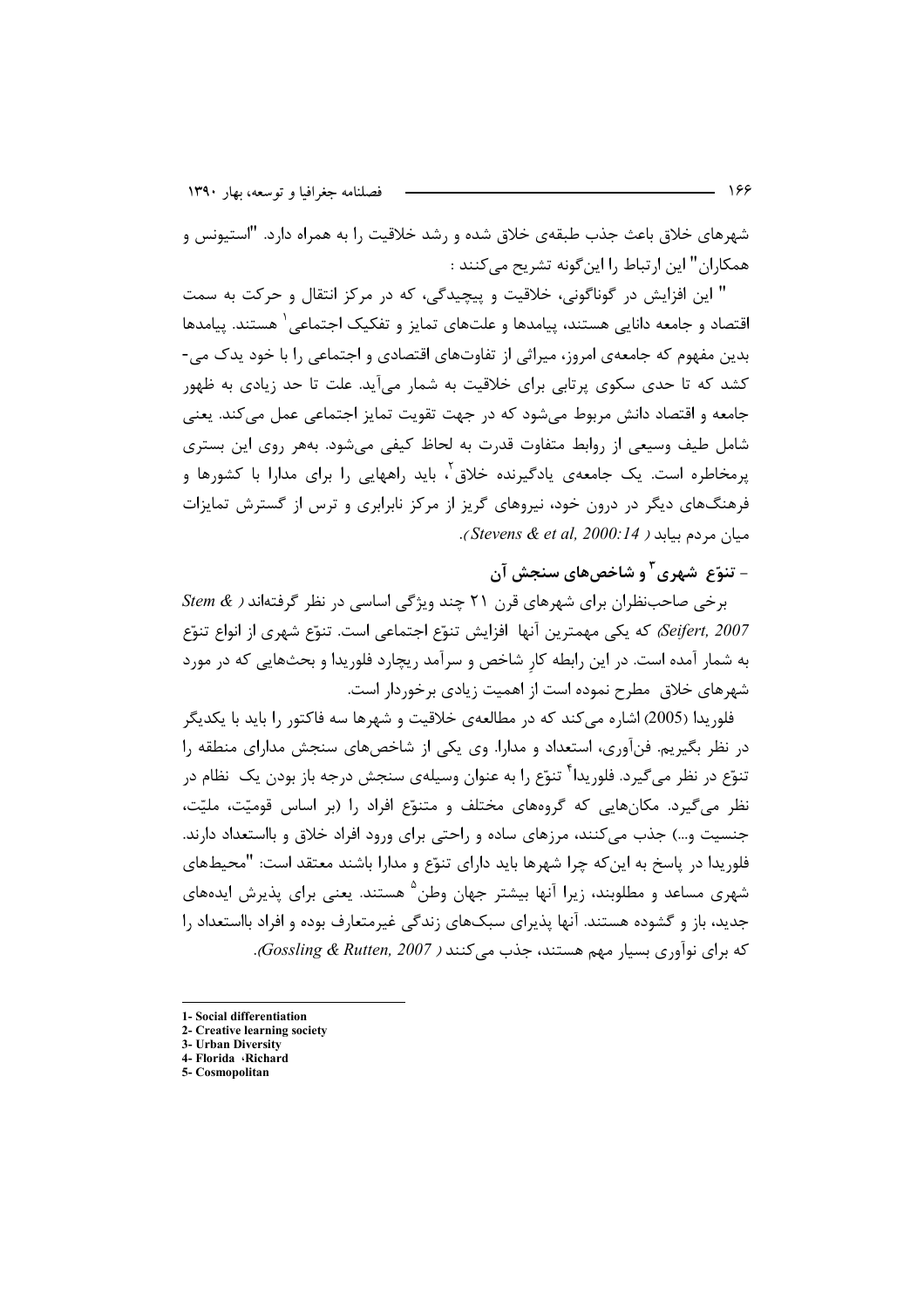شهرهای خلاق باعث جذب طبقهی خلاق شده و رشد خلاقیت را به همراه دارد. "استیونس و همکاران" این ارتباط را این گونه تشریح می کنند :

" این افزایش در گوناگونی، خلاقیت و پیچیدگی، که در مرکز انتقال و حرکت به سمت اقتصاد و جامعه دانایی هستند، پیامدها و علتهای تمایز و تفکیک اجتماعی` هستند. پیامدها بدین مفهوم که جامعهی امروز، میراثی از تفاوتهای اقتصادی و اجتماعی را با خود یدک می-کشد که تا حدی سکوی پرتابی برای خلاقیت به شمار میآید. علت تا حد زیادی به ظهور جامعه و اقتصاد دانش مربوط می شود که در جهت تقویت تمایز اجتماعی عمل می کند. یعنی شامل طیف وسیعی از روابط متفاوت قدرت به لحاظ کیفی میشود. بههر روی این بستری یرمخاطره است. یک جامعهی یادگیرنده خلاق ٔ، باید ,اههایی ,ا برای مدارا با کشورها و فرهنگهای دیگر در درون خود، نیروهای گریز از مرکز نابرابری و ترس از گسترش تمایزات ميان مردم بيابد ( Stevens & et al, 2000:14).

## – تنوّع شهري ّ و شاخص هاي سنجش آن

 $Stem \&$  برخی صاحب نظران برای شهرهای قرن ٢١ چند ویژگی اساسی در نظر گرفته اند ( & Stem Seifert, 2007) كه يكي مهمترين آنها افزايش تنوّع اجتماعي است. تنوّع شهري از انواع تنوّع به شمار آمده است. در این رابطه کار شاخص و سرآمد ریچارد فلوریدا و بحثهایی که در مورد شهرهای خلاق مطرح نموده است از اهمیت زیادی برخوردار است.

فلوریدا (2005) اشاره می کند که در مطالعهی خلاقیت و شهرها سه فاکتور را باید با یکدیگر در نظر بگیریم. فنآوری، استعداد و مدارا. وی یکی از شاخصهای سنجش مدارای منطقه را تنوّع در نظر می *گ*یرد. فلوریدا<sup>۴</sup> تنوّع را به عنوان وسیلهی سنجش درجه باز بودن یک نظام در نظر می گیرد. مکانهایی که گروههای مختلف و متنوّع افراد را (بر اساس قومیّت، ملیّت، جنسیت و…) جذب می کنند، مرزهای ساده و راحتی برای ورود افراد خلاق و بااستعداد دارند. فلوريدا در پاسخ به اين كه چرا شهرها بايد داراي تنوّع و مدارا باشند معتقد است: "محيطهاي شهری مساعد و مطلوبند، زیرا آنها بیشتر جهان وطن<sup>۵</sup> هستند. یعنی برای پذیرش ایدههای جدید، باز و گشوده هستند. آنها پذیرای سبکهای زندگی غیرمتعارف بوده و افراد بااستعداد را که برای نوآوری بسیار مهم هستند، جذب می کنند ( Gossling & Rutten, 2007).

2- Creative learning society 3- Urban Diversity

5- Cosmopolitan

<sup>1-</sup> Social differentiation

<sup>4-</sup> Florida · Richard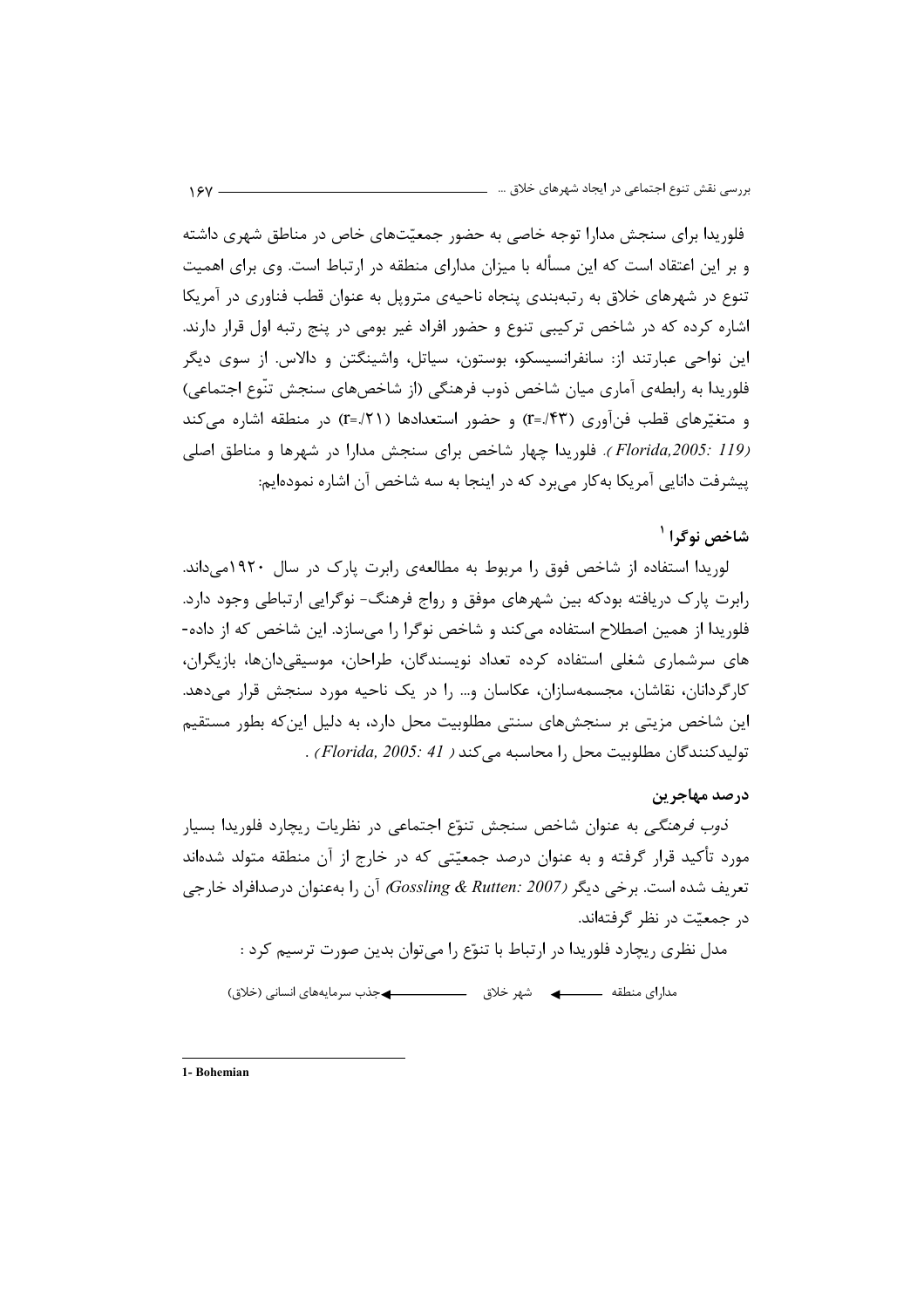فلوریدا برای سنجش مدارا توجه خاصی به حضور جمعیّتهای خاص در مناطق شهری داشته و بر این اعتقاد است که این مسأله با میزان مدارای منطقه در ارتباط است. وی برای اهمیت تنوع در شهرهای خلاق به رتبهبندی پنجاه ناحیهی متروپل به عنوان قطب فناوری در آمریکا اشاره کرده که در شاخص ترکیبی تنوع و حضور افراد غیر بومی در پنج رتبه اول قرار دارند. این نواحی عبارتند از: سانفرانسیسکو، بوستون، سیاتل، واشینگتن و دالاس. از سوی دیگر فلوريدا به رابطهي آماري ميان شاخص ذوب فرهنگي (از شاخصهاي سنجش تنّوع اجتماعي) و متغیّرهای قطب فنآوری (۳۳/-۲) و حضور استعدادها (۱۲۱/-۲) در منطقه اشاره می کند (Florida,2005: 119). فلوريدا چهار شاخص براي سنجش مدارا در شهرها و مناطق اصلي پیشرفت دانایی آمریکا بهکار می برد که در اینجا به سه شاخص آن اشاره نمودهایم:

## شاخص نوگرا<sup>۱</sup>

لوریدا استفاده از شاخص فوق را مربوط به مطالعهی رابرت پارک در سال ۱۹۲۰می داند. رابرت پارک دریافته بودکه بین شهرهای موفق و رواج فرهنگ- نوگرایی ارتباطی وجود دارد. فلوریدا از همین اصطلاح استفاده می کند و شاخص نوگرا را می سازد. این شاخص که از داده-های سرشماری شغلی استفاده کرده تعداد نویسندگان، طراحان، موسیقیدانها، بازیگران، کارگردانان، نقاشان، مجسمهسازان، عکاسان و… را در یک ناحیه مورد سنجش قرار مے دهد. این شاخص مزیتی بر سنجشهای سنتی مطلوبیت محل دارد، به دلیل این که بطور مستقیم توليدكنندگان مطلوبيت محل را محاسبه مي كند ( Florida, 2005: 41) .

## درصد مهاجرين

*ذوب فرهنگی* به عنوان شاخص سنجش تنوّع اجتماعی در نظریات ریچارد فلوریدا بسیار مورد تأکید قرار گرفته و به عنوان درصد جمعیّتی که در خارج از آن منطقه متولد شدهاند تعريف شده است. برخي ديگر (Gossling & Rutten: 2007) آن را بهعنوان درصدافراد خارجي در جمعتت در نظر گرفتهاند.

مدل نظری ریچارد فلوریدا در ارتباط با تنوّع را میتوان بدین صورت ترسیم کرد :

1- Bohemian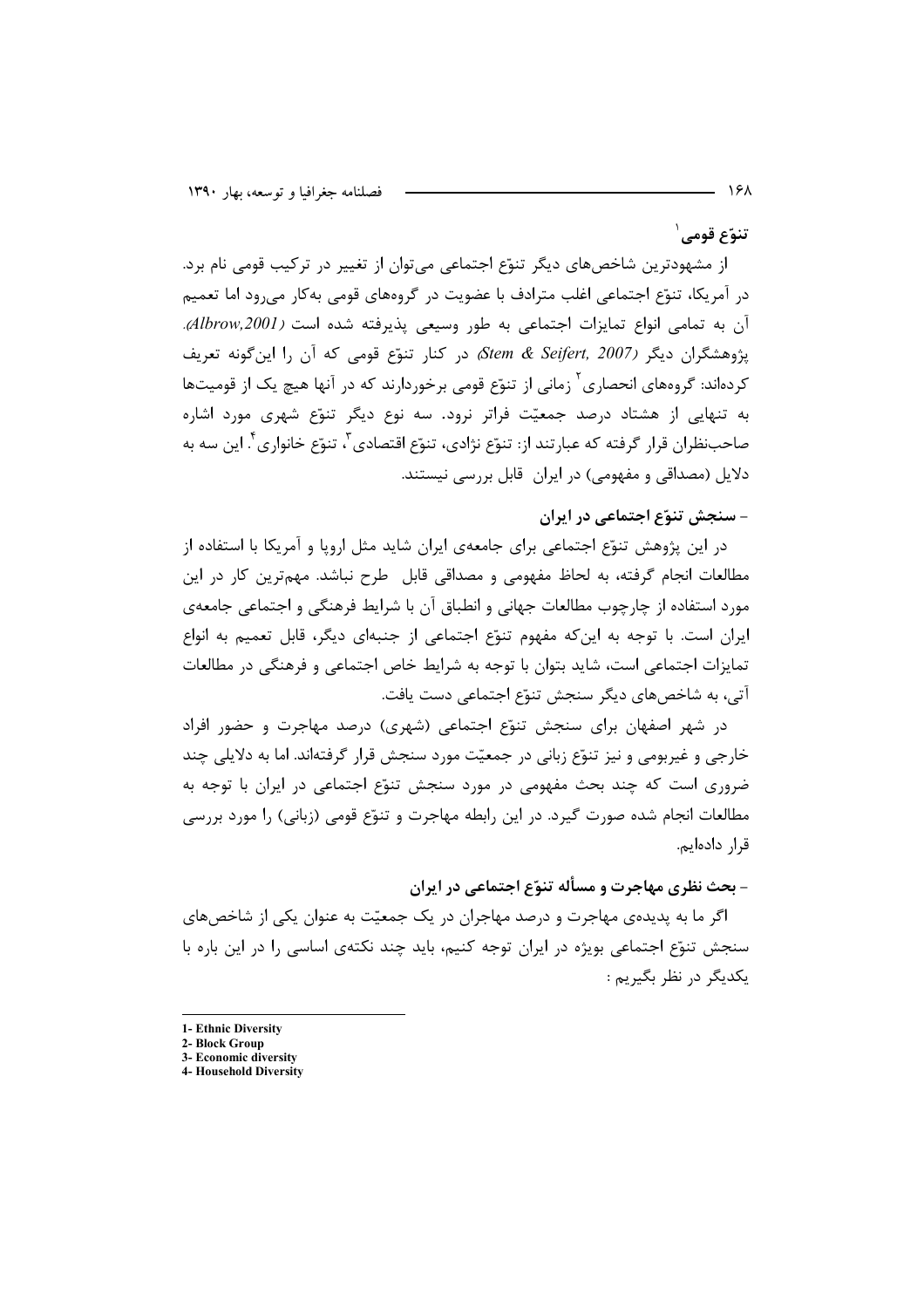تنوّع قومے ِ ا

از مشهودترین شاخصهای دیگر تنوّع اجتماعی می توان از تغییر در ترکیب قومی نام برد. در آمریکا، تنوّع اجتماعی اغلب مترادف با عضویت در گروههای قومی بهکار میرود اما تعمیم آن به تمامی انواع تمایزات اجتماعی به طور وسیعی پذیرفته شده است (Albrow,2001). پژوهشگران دیگر (Stem & Seifert, 2007) در کنار تنوّع قومی که آن را این گونه تعریف کردهاند: گروههای انحصاری ٔ زمانی از تنوّع قومی برخوردارند که در آنها هیچ یک از قومیتها به تنهایی از هشتاد درصد جمعیّت فراتر نرود. سه نوع دیگر تنوّع شهری مورد اشاره صاحب:نظران قرار گرفته که عبارتند از: تنوّع نژادی، تنوّع اقتصادی ّ، تنوّع خانواری ٔ این سه به دلایل (مصداقی و مفهومی) در ایران قابل بررسی نیستند.

## – سنجش تنوّع اجتماعی در ایران

در این پژوهش تنوّع اجتماعی برای جامعهی ایران شاید مثل اروپا و آمریکا با استفاده از مطالعات انجام گرفته، به لحاظ مفهومی و مصداقی قابل طرح نباشد. مهمترین کار در این مورد استفاده از چارچوب مطالعات جهانی و انطباق آن با شرایط فرهنگی و اجتماعی جامعهی ایران است. با توجه به این که مفهوم تنوّع اجتماعی از جنبهای دیگر، قابل تعمیم به انواع تمایزات اجتماعی است، شاید بتوان با توجه به شرایط خاص اجتماعی و فرهنگی در مطالعات آتی، به شاخص های دیگر سنجش تنوّع اجتماعی دست یافت.

در شهر اصفهان برای سنجش تنوّع اجتماعی (شهری) درصد مهاجرت و حضور افراد خارجي و غيربومي و نيز تنوّع زباني در جمعيّت مورد سنجش قرار گرفتهاند. اما به دلايلي چند ضروری است که چند بحث مفهومی در مورد سنجش تنوّع اجتماعی در ایران با توجه به مطالعات انجام شده صورت گیرد. در این رابطه مهاجرت و تنوّع قومی (زبانی) را مورد بررسی قرار دادهايم.

## - بحث نظری مهاجرت و مسأله تنوّع اجتماعی در ایران

اگر ما به پدیدهی مهاجرت و درصد مهاجران در یک جمعیّت به عنوان یکی از شاخصهای سنجش تنوّع اجتماعی بویژه در ایران توجه کنیم، باید چند نکتهی اساسی را در این باره با يکديگر در نظر بگيريم :

<sup>1-</sup> Ethnic Diversity

<sup>2-</sup> Block Group 3- Economic diversity

<sup>4-</sup> Household Diversity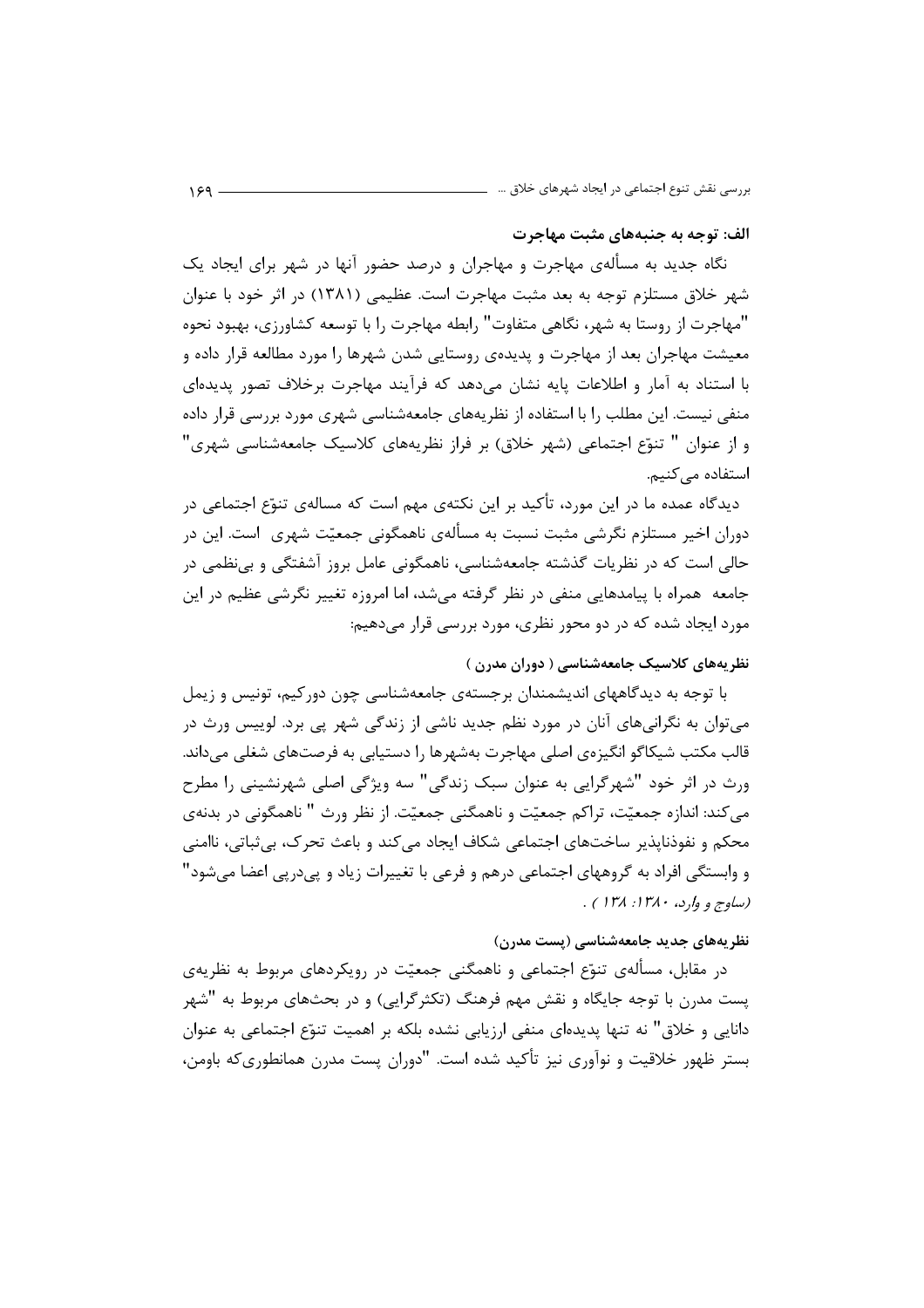#### الف: توجه به جنبههای مثبت مهاجرت

نگاه جدید به مسألهی مهاجرت و مهاجران و درصد حضور آنها در شهر برای ایجاد یک شهر خلاق مستلزم توجه به بعد مثبت مهاجرت است. عظیمی (۱۳۸۱) در اثر خود با عنوان "مهاجرت از روستا به شهر، نگاهی متفاوت" رابطه مهاجرت را با توسعه کشاورزی، بهبود نحوه معیشت مهاجران بعد از مهاجرت و پدیدهی روستایی شدن شهرها را مورد مطالعه قرار داده و با استناد به آمار و اطلاعات پایه نشان می دهد که فرآیند مهاجرت برخلاف تصور پدیدهای منفی نیست. این مطلب را با استفاده از نظریههای جامعهشناسی شهری مورد بررسی قرار داده و از عنوان " تنوّع اجتماعی (شهر خلاق) بر فراز نظریههای کلاسیک جامعهشناسی شهری" استفاده مے کنیم.

دیدگاه عمده ما در این مورد، تأکید بر این نکتهی مهم است که مسالهی تنوّع اجتماعی در دوران اخیر مستلزم نگرشی مثبت نسبت به مسألهی ناهمگونی جمعیّت شهری ِ است. این در حالي است كه در نظريات گذشته جامعهشناسي، ناهمگوني عامل بروز آشفتگي و بي نظمي در جامعه همراه با پیامدهایی منفی در نظر گرفته میشد، اما امروزه تغییر نگرشی عظیم در این مورد ایجاد شده که در دو محور نظری، مورد بررسی قرار میدهیم:

## نظریههای کلاسیک جامعهشناسی ( دوران مدرن )

با توجه به دیدگاههای اندیشمندان برجستهی جامعهشناسی چون دورکیم، تونیس و زیمل میتوان به نگرانیهای آنان در مورد نظم جدید ناشی از زندگی شهر پی برد. لوییس ورث در قالب مکتب شیکاگو انگیزهی اصلی مهاجرت بهشهرها را دستیابی به فرصتهای شغلی می داند. ورث در اثر خود "شهرگرایی به عنوان سبک زندگی" سه ویژگی اصلی شهرنشینی را مطرح مي كند: اندازه جمعيّت، تراكم جمعيّت و ناهمگني جمعيّت. از نظر ورث " ناهمگوني در بدنهي محکم و نفوذنایذیر ساختهای اجتماعی شکاف ایجاد می کند و باعث تحرک، بی ثباتی، ناامنی و وابستگی افراد به گروههای اجتماعی درهم و فرعی با تغییرات زیاد و پیدرپی اعضا میشود" (ساوج و وارد، ۱۳۸۰: ۱۳۸) .

## نظریههای جدید جامعهشناسی (پست مدرن)

در مقابل، مسألهی تنوّع اجتماعی و ناهمگنی جمعیّت در رویکردهای مربوط به نظریهی یست مدرن با توجه جایگاه و نقش مهم فرهنگ (تکثرگرایی) و در بحثهای مربوط به "شهر دانایی و خلاق" نه تنها پدیدهای منفی ارزیابی نشده بلکه بر اهمیت تنوّع اجتماعی به عنوان بستر ظهور خلاقیت و نوآوری نیز تأکید شده است. "دوران پست مدرن همانطوریکه باومن،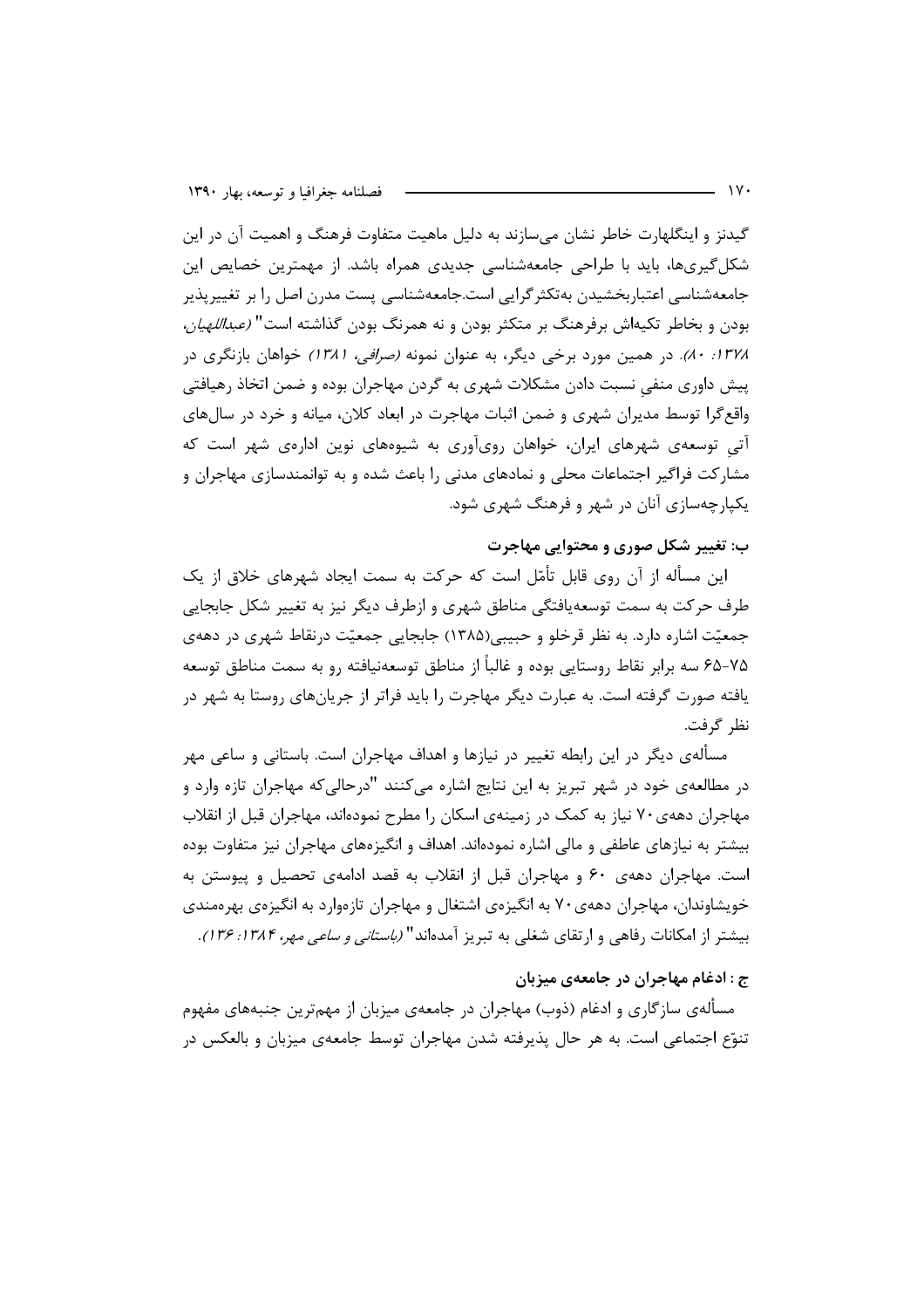گیدنز و اینگلهارت خاطر نشان می سازند به دلیل ماهیت متفاوت فرهنگ و اهمیت آن در این شکل گیریها، باید با طراحی جامعهشناسی جدیدی همراه باشد. از مهمترین خصایص این جامعهشناسی اعتباربخشیدن بهتکثرگرایی است.جامعهشناسی پست مدرن اصل را بر تغییرپذیر بودن و بخاطر تکیهاش برفرهنگ بر متکثر بودن و نه همرنگ بودن گذاشته است" *(عبداللهیان،* ۱۳۷۸: ۸۰). در همین مورد برخی دیگر، به عنوان نمونه *(صرافی، ۱۳۸۱)* خواهان بازنگری در پیش داوری منفی نسبت دادن مشکلات شهری به گردن مهاجران بوده و ضمن اتخاذ رهیافتی واقع گرا توسط مدیران شهری و ضمن اثبات مهاجرت در ابعاد کلان، میانه و خرد در سالهای آتی توسعهی شهرهای ایران، خواهان رویآوری به شیوههای نوین ادارهی شهر است که مشارکت فراگیر اجتماعات محلی و نمادهای مدنی را باعث شده و به توانمندسازی مهاجران و یکیارچهسازی آنان در شهر و فرهنگ شهری شود.

## ب: تغییر شکل صوری و محتوایی مهاجرت

این مسأله از آن روی قابل تأمّل است که حرکت به سمت ایجاد شهرهای خلاق از یک طرف حرکت به سمت توسعه یافتگی مناطق شهری و ازطرف دیگر نیز به تغییر شکل جابجایی جمعیّت اشاره دارد. به نظر قرخلو و حبیبی(۱۳۸۵) جابجایی جمعیّت درنقاط شهری در دههی ۷۵–۶۵ سه برابر نقاط روستایی بوده و غالباً از مناطق توسعهنیافته رو به سمت مناطق توسعه یافته صورت گرفته است. به عبارت دیگر مهاجرت را باید فراتر از جریانهای روستا به شهر در نظر گرفت.

مسألهي ديگر در اين رابطه تغيير در نيازها و اهداف مهاجران است. باستاني و ساعي مهر در مطالعهی خود در شهر تبریز به این نتایج اشاره میکنند "درحالیکه مهاجران تازه وارد و مهاجران دههی۷۰ نیاز به کمک در زمینهی اسکان را مطرح نمودهاند، مهاجران قبل از انقلاب بیشتر به نیازهای عاطفی و مالی اشاره نمودهاند. اهداف و انگیزههای مهاجران نیز متفاوت بوده است. مهاجران دههی ۶۰ و مهاجران قبل از انقلاب به قصد ادامهی تحصیل و پیوستن به خویشاوندان، مهاجران دههی۷۰ به انگیزهی اشتغال و مهاجران تازهوارد به انگیزهی بهرهمندی بیشتر از امکانات رفاهی و ارتقای شغلی به تبریز آمدهاند" *(باستانی و ساعی مهر، ۱۳۸۴: ۱۳۶).* 

## ج : ادغام مهاجران در جامعهی میزبان

مسألهی سازگاری و ادغام (ذوب) مهاجران در جامعهی میزبان از مهمترین جنبههای مفهوم تنوّع اجتماعی است. به هر حال پذیرفته شدن مهاجران توسط جامعهی میزبان و بالعکس در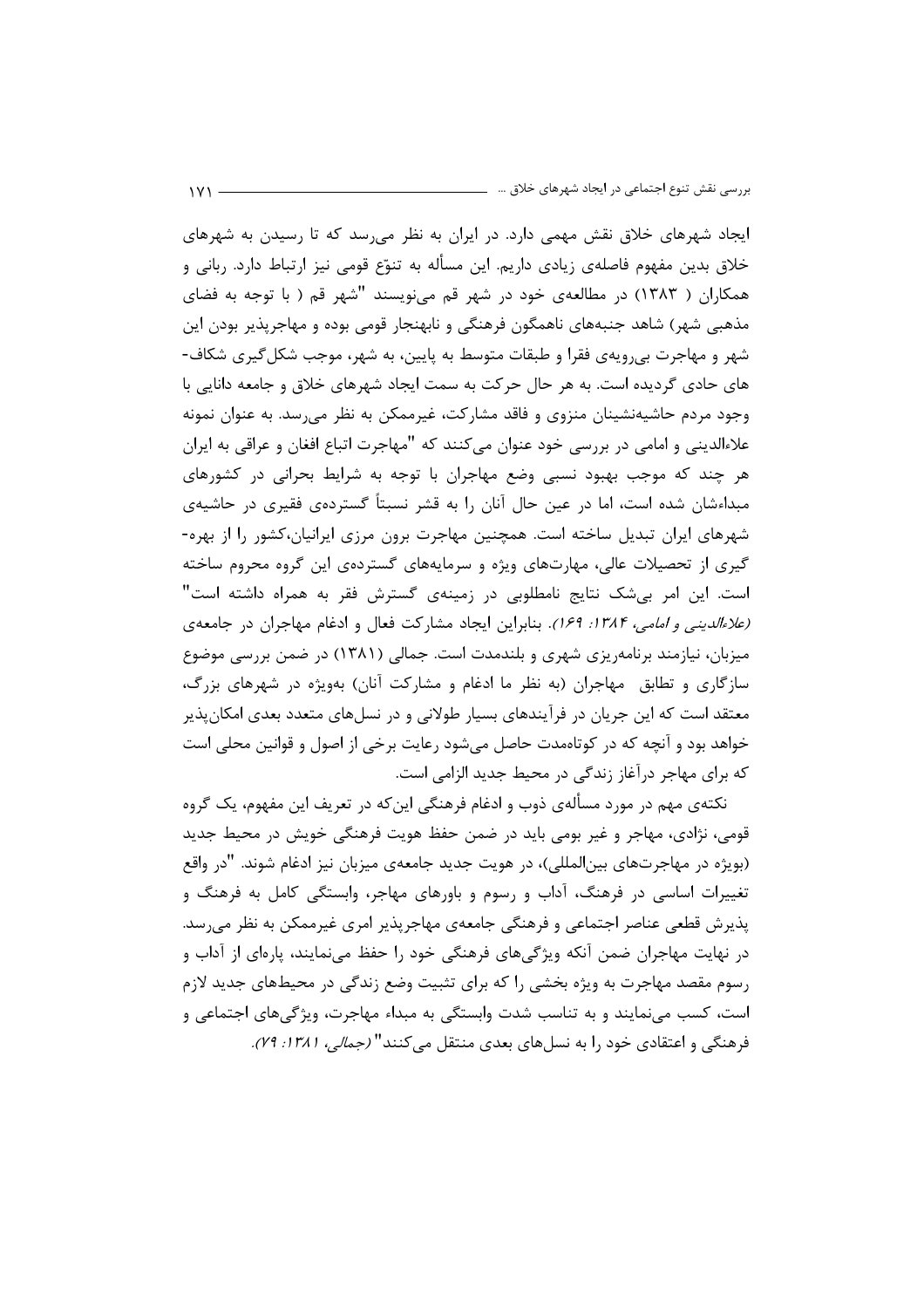ایجاد شهرهای خلاق نقش مهمی دارد. در ایران به نظر می رسد که تا رسیدن به شهرهای خلاق بدین مفهوم فاصلهی زیادی داریم. این مسأله به تنوّع قومی نیز ارتباط دارد. ربانی و همکاران ( ۱۳۸۳) در مطالعهی خود در شهر قم میiویسند "شهر قم ( با توجه به فضای مذهبی شهر) شاهد جنبههای ناهمگون فرهنگی و نابهنجار قومی بوده و مهاجرپذیر بودن این شهر و مهاجرت بی٫ویهی فقرا و طبقات متوسط به پایین، به شهر، موجب شکل گیری شکاف-های حادی گردیده است. به هر حال حرکت به سمت ایجاد شهرهای خلاق و جامعه دانایی با وجود مردم حاشیهنشینان منزوی و فاقد مشارکت، غیرممکن به نظر می رسد. به عنوان نمونه علاءالدینی و امامی در بررسی خود عنوان میکنند که "مهاجرت اتباع افغان و عراقی به ایران هر چند که موجب بهبود نسبی وضع مهاجران با توجه به شرایط بحرانی در کشورهای مبداءشان شده است، اما در عین حال آنان را به قشر نسبتاً گستردهی فقیری در حاشیهی شهرهای ایران تبدیل ساخته است. همچنین مهاجرت برون مرزی ایرانیان،کشور را از بهره-گیری از تحصیلات عالی، مهارتهای ویژه و سرمایههای گستردهی این گروه محروم ساخته است. این امر بیشک نتایج نامطلوبی در زمینهی گسترش فقر به همراه داشته است" *(علاءالدینی و امامی، ۱۳۸۴: ۱۶۹).* بنابراین ایجاد مشارکت فعال و ادغام مهاجران در جامعهی میزبان، نیازمند برنامهریزی شهری و بلندمدت است. جمالی (۱۳۸۱) در ضمن بررسی موضوع سازگاری و تطابق مهاجران (به نظر ما ادغام و مشارکت آنان) بهویژه در شهرهای بزرگ، معتقد است که این جریان در فرآیندهای بسیار طولانی و در نسلهای متعدد بعدی امکان پذیر خواهد بود و آنچه که در کوتاهمدت حاصل می شود رعایت برخی از اصول و قوانین محلی است که برای مهاجر درآغاز زندگی در محیط جدید الزامی است.

نکتهی مهم در مورد مسألهی ذوب و ادغام فرهنگی این که در تعریف این مفهوم، یک گروه قومی، نژادی، مهاجر و غیر بومی باید در ضمن حفظ هویت فرهنگی خویش در محیط جدید (بویژه در مهاجرتهای بین|لمللی)، در هویت جدید جامعهی میزبان نیز ادغام شوند. "در واقع تغییرات اساسی در فرهنگ، آداب و رسوم و باورهای مهاجر، وابستگی کامل به فرهنگ و پذیرش قطعی عناصر اجتماعی و فرهنگی جامعهی مهاجرپذیر امری غیرممکن به نظر می رسد. در نهایت مهاجران ضمن آنکه ویژگیهای فرهنگی خود را حفظ می،نمایند، پارهای از آداب و رسوم مقصد مهاجرت به ویژه بخشی را که برای تثبیت وضع زندگی در محیطهای جدید لازم است، کسب می نمایند و به تناسب شدت وابستگی به مبداء مهاجرت، ویژگی های اجتماعی و فرهنگی و اعتقادی خود را به نسلهای بعدی منتقل می کنند" *(جمالی، ۱۳۸۱: ۷۹).*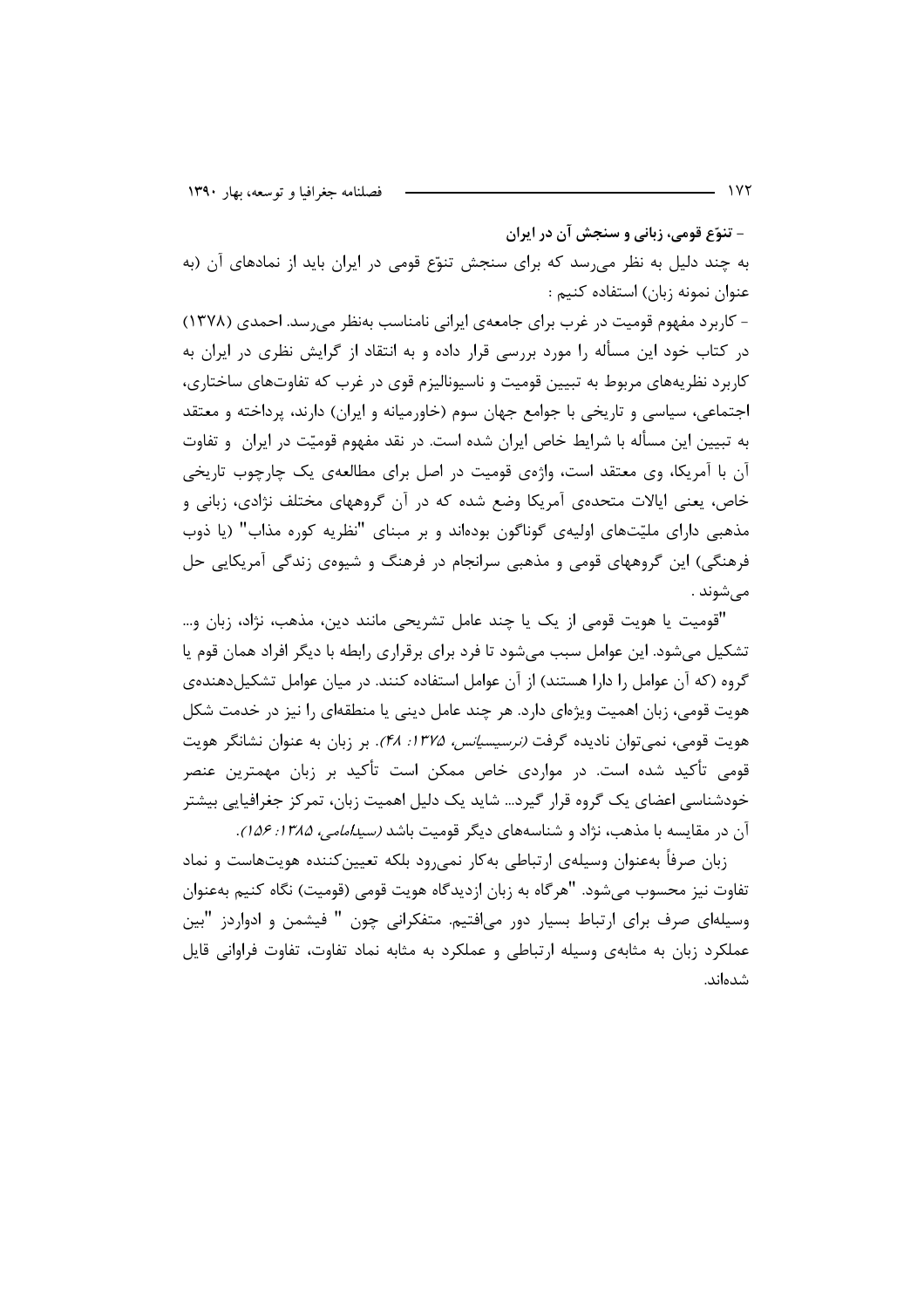– تنوّع قومي، زباني و سنجش آن در ايران

به چند دلیل به نظر می رسد که برای سنجش تنوّع قومی در ایران باید از نمادهای آن (به عنوان نمونه زبان) استفاده کنیم :

- کاربرد مفهوم قومیت در غرب برای جامعهی ایرانی نامناسب بهنظر میرسد. احمدی (۱۳۷۸) در کتاب خود این مسأله را مورد بررسی قرار داده و به انتقاد از گرایش نظری در ایران به کاربرد نظریههای مربوط به تبیین قومیت و ناسپونالیزم قوی در غرب که تفاوتهای ساختاری، اجتماعی، سیاسی و تاریخی با جوامع جهان سوم (خاورمیانه و ایران) دارند، پرداخته و معتقد به تبیین این مسأله با شرایط خاص ایران شده است. در نقد مفهوم قومیّت در ایران ٍ و تفاوت آن با آمریکا، وی معتقد است، واژهی قومیت در اصل برای مطالعهی یک چارچوب تاریخی خاص، یعنی ایالات متحدهی آمریکا وضع شده که در آن گروههای مختلف نژادی، زبانی و مذهبی دارای ملیّتهای اولیهی گوناگون بودهاند و بر مبنای "نظریه کوره مذاب" (یا ذوب فرهنگی) این گروههای قومی و مذهبی سرانجام در فرهنگ و شیوهی زندگی آمریکایی حل مے شوند .

"قومیت یا هویت قومی از یک یا چند عامل تشریحی مانند دین، مذهب، نژاد، زبان و… تشکیل میشود. این عوامل سبب میشود تا فرد برای برقراری رابطه با دیگر افراد همان قوم یا گروه (که آن عوامل را دارا هستند) از آن عوامل استفاده کنند. در میان عوامل تشکیل دهندهی هویت قومی، زبان اهمیت ویژهای دارد. هر چند عامل دینی یا منطقهای را نیز در خدمت شکل هویت قومی، نمی توان نادیده گرفت *(نرسیسیانس، ۱۳۷۵: ۴۸).* بر زبان به عنوان نشانگر هویت قومی تأکید شده است. در مواردی خاص ممکن است تأکید بر زبان مهمترین عنصر خودشناسی اعضای یک گروه قرار گیرد… شاید یک دلیل اهمیت زبان، تمرکز جغرافیایی بیشتر آن در مقایسه با مذهب، نژاد و شناسههای دیگر قومیت باشد *(سیدامامی، ۱۳۸۵: ۱۵۶)*.

زبان صرفاً بهعنوان وسيلهى ارتباطي بهكار نمى رود بلكه تعيين كننده هويتهاست و نماد تفاوت نیز محسوب می,شود. "هرگاه به زبان ازدیدگاه هویت قومی (قومیت) نگاه کنیم بهعنوان وسیلهای صرف برای ارتباط بسیار دور می|فتیم. متفکرانی چون " فیشمن و ادواردز "بین عملکرد زبان به مثابهی وسیله ارتباطی و عملکرد به مثابه نماد تفاوت، تفاوت فراوانی قایل شدەاند.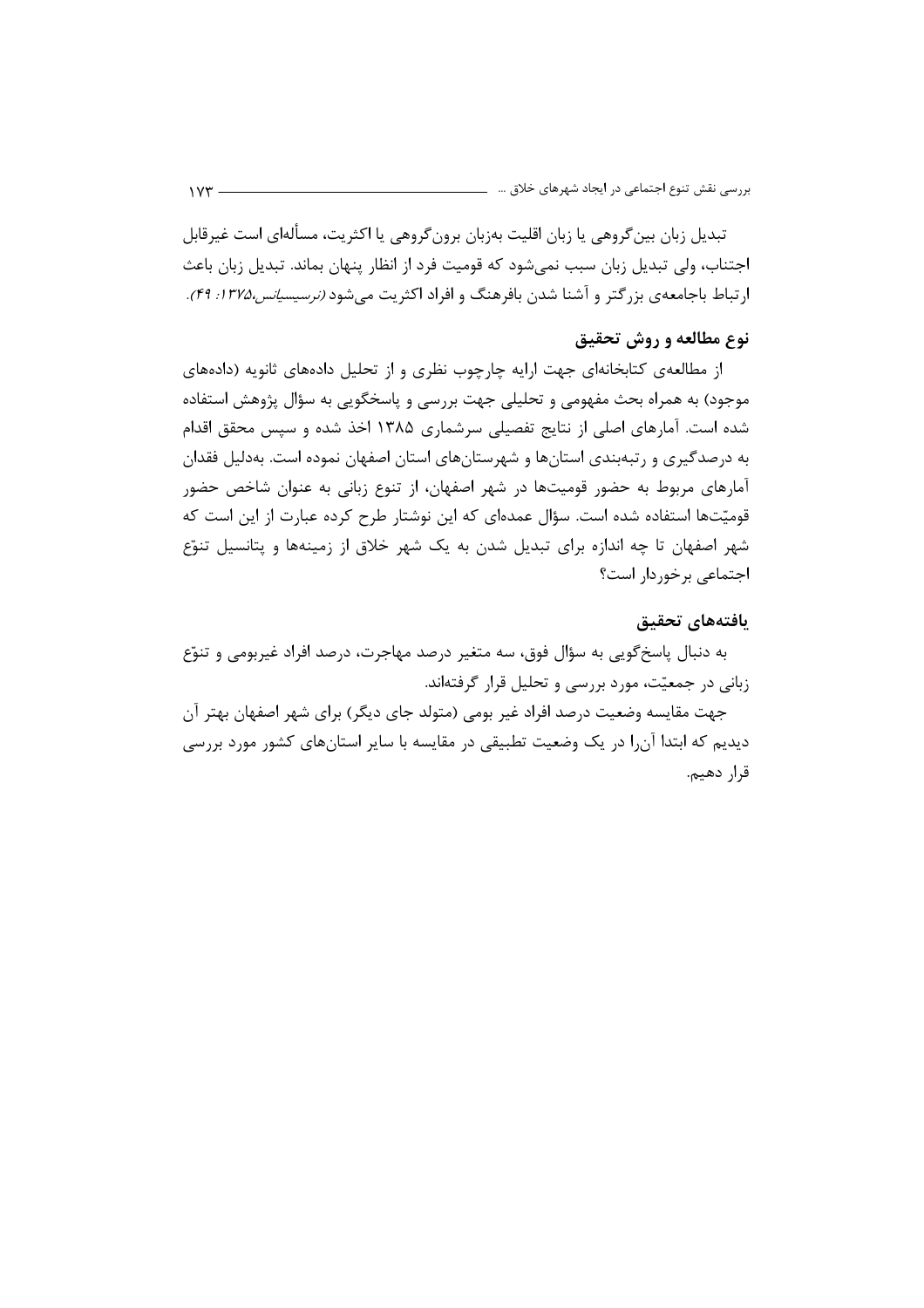تبدیل زبان بین گروهی یا زبان اقلیت بەزبان برون گروهی یا اکثریت، مسألهای است غیرقابل اجتناب، ولی تبدیل زبان سبب نمیشود که قومیت فرد از انظار پنهان بماند. تبدیل زبان باعث ارتباط باجامعهی بزرگتر و آشنا شدن بافرهنگ و افراد اکثریت میشود *(نرسیسیانس،۱۳۷۵: ۴۹)*.

## نوع مطالعه و روش تحقیق

از مطالعهی کتابخانهای جهت ارایه چارچوب نظری و از تحلیل دادههای ثانویه (دادههای موجود) به همراه بحث مفهومي و تحليلي جهت بررسي و پاسخگويي به سؤال پژوهش استفاده شده است. آمارهای اصلی از نتایج تفصیلی سرشماری ۱۳۸۵ اخذ شده و سپس محقق اقدام به درصدگیری و رتبهبندی استانها و شهرستانهای استان اصفهان نموده است. بهدلیل فقدان آمارهای مربوط به حضور قومیتها در شهر اصفهان، از تنوع زبانی به عنوان شاخص حضور قومیّتها استفاده شده است. سؤال عمدهای که این نوشتار طرح کرده عبارت از این است که شهر اصفهان تا چه اندازه برای تبدیل شدن به یک شهر خلاق از زمینهها و پتانسیل تنوّع اجتماعی برخوردار است؟

#### بافتههاي تحقيق

به دنبال پاسخ گويي به سؤال فوق، سه متغير درصد مهاجرت، درصد افراد غيربومي و تنوّع زبانی در جمعیّت، مورد بررسی و تحلیل قرار گرفتهاند.

جهت مقایسه وضعیت درصد افراد غیر بومی (متولد جای دیگر) برای شهر اصفهان بهتر آن دیدیم که ابتدا آن ا در یک وضعیت تطبیقی در مقایسه با سایر استانهای کشور مورد بررسی قرار دهيم.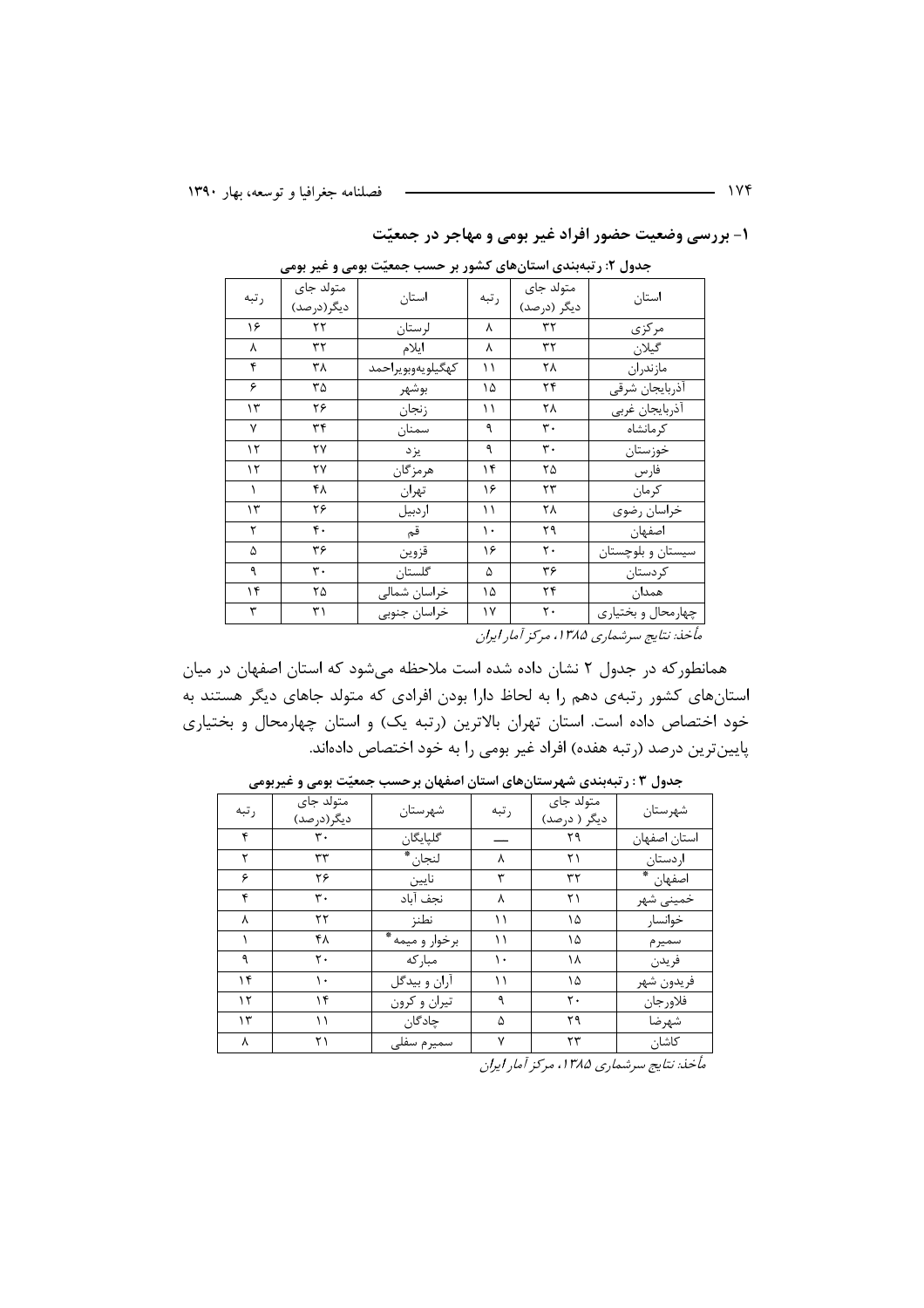۱- بررسی وضعیت حضور افراد غیر بومی و مهاجر در جمعیّت

| رتبه      | متولد جاى<br>ديگر (درصد) | استان             | رتبه | متولد جاى<br>دیگر (درصد) | استان                                                                                                                                                                                                                                                                                                       |
|-----------|--------------------------|-------------------|------|--------------------------|-------------------------------------------------------------------------------------------------------------------------------------------------------------------------------------------------------------------------------------------------------------------------------------------------------------|
| ۱۶        | ۲۲                       | لرستان            | ٨    | ٣٢                       | مركزى                                                                                                                                                                                                                                                                                                       |
| Υ         | ٣٢                       | ايلام             | γ    | ٣٢                       | گیلان                                                                                                                                                                                                                                                                                                       |
| ۴         | ۳۸                       | كهگيلويەوبويراحمد | ۱۱   | ۲۸                       | مازندران                                                                                                                                                                                                                                                                                                    |
| ۶         | ۳۵                       | بوشهر             | ۱۵   | ۲۴                       | آذربايجان شرقى                                                                                                                                                                                                                                                                                              |
| $\gamma$  | ۲۶                       | زنجان             | ۱۱   | ۲۸                       | أذربايجان غربي                                                                                                                                                                                                                                                                                              |
| Y         | ٣۴                       | سمنان             | ٩    | ٣.                       | کر مانشاہ                                                                                                                                                                                                                                                                                                   |
| ۱۲        | ۲۷                       | يزد               | ٩    | ٣٠                       | خوزستان                                                                                                                                                                                                                                                                                                     |
| ۱۲        | ۲۷                       | هرمزگان           | ۱۴   | ۲۵                       | فارس                                                                                                                                                                                                                                                                                                        |
| $\lambda$ | ۴۸                       | تهران             | ۱۶   | ٢٣                       | كرمان                                                                                                                                                                                                                                                                                                       |
| ۱۳        | ۲۶                       | اردبيل            | ۱۱   | ۲۸                       | خراسان رضوي                                                                                                                                                                                                                                                                                                 |
| ٢         | ۴٠                       | قم                | ۱۰   | ۲۹                       | اصفهان                                                                                                                                                                                                                                                                                                      |
| ۵         | ۳۶                       | قزوين             | ۱۶   | ٢٠                       | سیستان و بلوچستان                                                                                                                                                                                                                                                                                           |
| ٩         | ٣٠                       | گلستان            | ۵    | ٣۶                       | حردستان                                                                                                                                                                                                                                                                                                     |
| ۱۴        | ۲۵                       | خراسان شمالي      | ۱۵   | ۲۴                       |                                                                                                                                                                                                                                                                                                             |
| ٣         | ٣١                       | خراسان جنوبي      | ۱۷   | $\mathsf{r}\cdot$        | چهارمحال و بختياري                                                                                                                                                                                                                                                                                          |
|           |                          |                   |      |                          | $\mathbf{r}$ , $\mathbf{r}$ , $\mathbf{r}$ , $\mathbf{r}$ , $\mathbf{r}$ , $\mathbf{r}$ , $\mathbf{r}$ , $\mathbf{r}$ , $\mathbf{r}$ , $\mathbf{r}$ , $\mathbf{r}$ , $\mathbf{r}$ , $\mathbf{r}$ , $\mathbf{r}$ , $\mathbf{r}$ , $\mathbf{r}$ , $\mathbf{r}$ , $\mathbf{r}$ , $\mathbf{r}$ , $\mathbf{r}$ , |

جدول ۲: رتبهبندی استانهای کشور بر حسب جمعیّت بومی و غیر بومی

مأخذ: نتايج سرشماري ۱۳۸۵، مركز آمار ايران

همانطور که در جدول ۲ نشان داده شده است ملاحظه میشود که استان اصفهان در میان استانهای کشور رتبهی دهم را به لحاظ دارا بودن افرادی که متولد جاهای دیگر هستند به خود اختصاص داده است. استان تهران بالاترین (رتبه یک) و استان چهارمحال و بختیاری پایینترین درصد (رتبه هفده) افراد غیر بومی را به خود اختصاص دادهاند.

| رتبه | متولد جاى<br>دیگر (در صد) | شهرستان         | رتبه | متولد جاى<br>دیگر ( درصد) | شهرستان      |
|------|---------------------------|-----------------|------|---------------------------|--------------|
| ۴    | ٣٠                        | گلپایگان        |      | ۲۹                        | استان اصفهان |
| ۲    | ٣٣                        | لنجان *         | ٨    | ۲۱                        | اردستان      |
| ۶    | ۲۶                        | نايين           | ٣    | ٣٢                        | اصفهان *     |
| ۴    | ٣٠                        | نجف آباد        | ٨    | ۲۱                        | خميني شهر    |
| ٨    | ۲۲                        | نطنز            | ۱۱   | ۱۵                        | خوانسار      |
|      | ۴۸                        | برخوار و میمه * | ۱۱   | ۱۵                        | سميرم        |
| ٩    | ٢٠                        | مباركه          | ۱۰   | ۱۸                        | فريدن        |
| ۱۴   | ۱۰                        | آران و بيدگل    | ۱۱   | ۱۵                        | فريدون شهر   |
| ۱۲   | ۱۴                        | تيران و كرون    | ٩    | ٢٠                        | فلاورجان     |
| ۱۳   | ۱۱                        | چادگان          | ۵    | ۲۹                        | شهرضا        |
| λ    | ۲۱                        | سميرم سفلى      | ٧    | ۲۳                        | كاشان        |

جدول ۰.۳ رتبهبندی شهرستانهای استان اصفهان برحسب جمعیّت بومی و غیربومی

.<br>ماخذ: نتایج سرشماری ۱۳۸۵، مرکز آما<sub>د</sub> ایران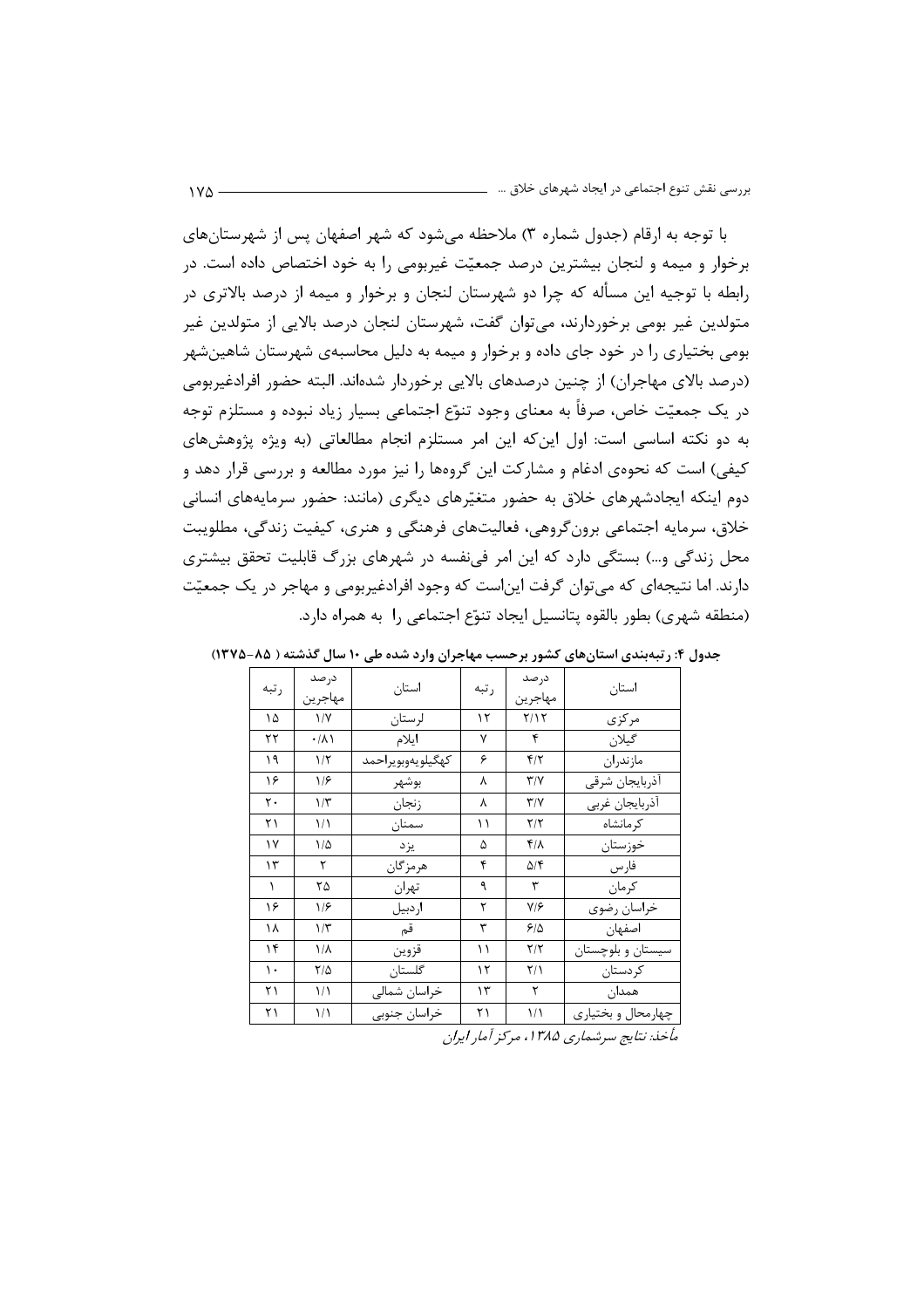با توجه به ارقام (جدول شماره ۳) ملاحظه می شود که شهر اصفهان پس از شهرستانهای برخوار و میمه و لنجان بیشترین درصد جمعیّت غیربومی را به خود اختصاص داده است. در رابطه با توجیه این مسأله که چرا دو شهرستان لنجان و برخوار و میمه از درصد بالاتری در متولدین غیر بومی برخوردارند، میتوان گفت، شهرستان لنجان درصد بالایی از متولدین غیر بومی بختیاری را در خود جای داده و برخوار و میمه به دلیل محاسبهی شهرستان شاهینشهر (درصد بالای مهاجران) از چنین درصدهای بالایی برخوردار شدهاند. البته حضور افرادغیربومی در یک جمعیّت خاص، صرفاً به معنای وجود تنوّع اجتماعی بسیار زیاد نبوده و مستلزم توجه به دو نکته اساسی است: اول این که این امر مستلزم انجام مطالعاتی (به ویژه پژوهشهای کیفی) است که نحوهی ادغام و مشارکت این گروهها را نیز مورد مطالعه و بررسی قرار دهد و دوم اینکه ایجادشهرهای خلاق به حضور متغیّرهای دیگری (مانند: حضور سرمایههای انسانی خلاق، سرمایه اجتماعی برون گروهی، فعالیتهای فرهنگی و هنری، کیفیت زندگی، مطلویبت محل زندگی و…) بستگی دارد که این امر فینفسه در شهرهای بزرگ قابلیت تحقق بیشتری دارند. اما نتیجهای که می توان گرفت این است که وجود افرادغیربومی و مهاجر در یک جمعیّت (منطقه شهري) بطور بالقوه پتانسيل ايجاد تنوّع اجتماعي را به همراه دارد.

| رتبه           | درصد                 | استان             | رتبه | درصد                    | استان              |
|----------------|----------------------|-------------------|------|-------------------------|--------------------|
|                | مهاجرين              |                   |      | مهاجرين                 |                    |
| ۱۵             | $\frac{1}{\sqrt{2}}$ | لرستان            | ۱۲   | Y/Y                     | مركزى              |
| ۲۲             | $\cdot/\lambda$      | ايلام             | ٧    | $\mathbf{r}$            | گيلان              |
| ۱۹             | $1/\tau$             | كهگيلويەوبويراحمد | ۶    | $f/\tau$                | مازندران           |
| ۱۶             | 1/5                  | بوشهر             | λ    | $\mathbf{r}/\mathbf{v}$ | أذربايجان شرقى     |
| $\mathsf{r}$ . | $1/\tau$             | زنجان             | ٨    | $\mathbf{r}/\mathbf{v}$ | أذربايجان غربي     |
| ٢١             | 1/1                  | سمنان             | ۱۱   | $\mathbf{Y}/\mathbf{Y}$ | کر مانشاہ          |
| $\gamma$       | $1/\Delta$           | يزد               | ۵    | $f/\lambda$             | خوزستان            |
| $\gamma$       | ٢                    | هر مز گان         | ۴    | ۵/۴                     | فارس               |
| $\lambda$      | ۲۵                   | تهران             | ٩    | ٣                       | كر مان             |
| ۱۶             | ۱۱۶                  | اردبيل            | ٢    | $Y/\mathcal{F}$         | خراسان رضوي        |
| ۱۸             | $1/\tau$             | قم                | ٣    | 5/2                     | اصفهان             |
| ۱۴             | $1/\lambda$          | قزوين             | ۱۱   | $\mathbf{Y}/\mathbf{Y}$ | سیستان و بلوچستان  |
| $\mathcal{L}$  | $7/\Delta$           | گلستان            | ۱۲   | $\frac{1}{2}$           | کردستان            |
| ۲۱             | ۱۱                   | خراسان شمالي      | ۱۳   | $\mathbf{\tau}$         | همدان              |
| ۲۱             | ۱۱                   | خراسان جنوبي      | ۲۱   | 1/1                     | چهارمحال و بختياري |

جدول ۴: رتبهبندی استانهای کشور برحسب مهاجران وارد شده طی ۱۰ سال گذشته ( ۸۵–۱۳۷۵)

مأخذ: نتايج سرشماري ۱۳۸۵، مركز أمار ايران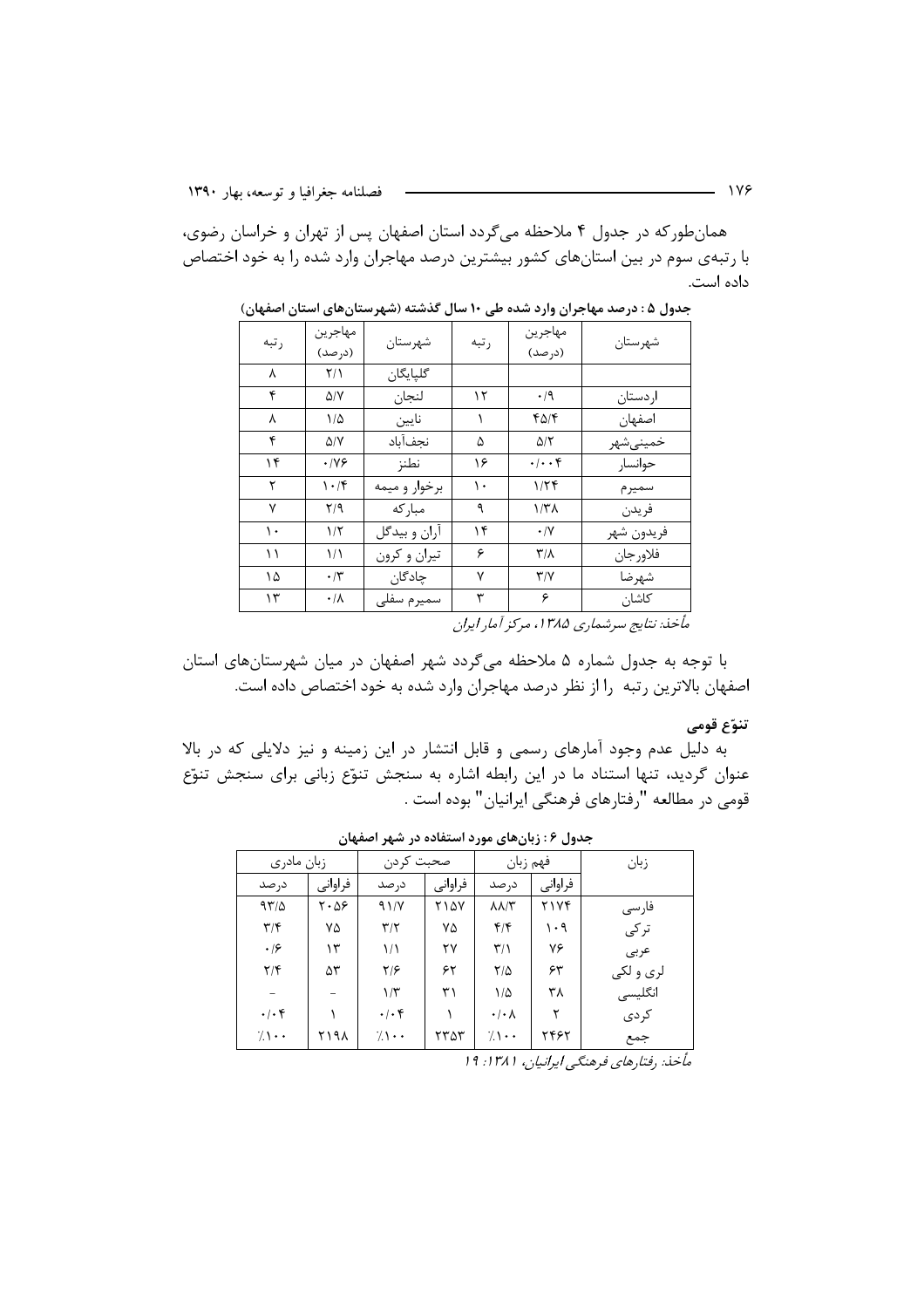همان طور که در جدول ۴ ملاحظه میگردد استان اصفهان پس از تهران و خراسان رضوی، با رتبهی سوم در بین استانهای کشور بیشترین درصد مهاجران وارد شده را به خود اختصاص داده است.

| رتبه | مهاجرين<br>(در صد)      | شهرستان       | رتبه                   | مهاجرين<br>(درصد)       | شهرستان    |
|------|-------------------------|---------------|------------------------|-------------------------|------------|
| ٨    | $\frac{1}{\sqrt{2}}$    | گليايگان      |                        |                         |            |
| ۴    | ۵/۷                     | لنجان         | ۱۲                     | $\cdot$ /9              | اردستان    |
| ٨    | $1/\Delta$              | نايين         |                        | ۴۵/۴                    | اصفهان     |
| ۴    | ۵/۷                     | نجفآباد       | ۵                      | $\Delta/\Upsilon$       | خمينىشهر   |
| ۱۴   | ۰۱۷۶                    | نطنز          | ۱۶                     | $\cdot/\cdot\cdot$ ۴    | حوانسار    |
| ٢    | $\cdot$ /۴              | برخوار و میمه | ۱۰                     | ۱۱۲۴                    | سميرم      |
| ٧    | $\mathsf{Y}/\mathsf{q}$ | مباركه        | ٩                      | ۱/۳۸                    | فريدن      |
| ۱۰   | $1/\tau$                | أران و بيدگل  | ۱۴                     | $\cdot/\Upsilon$        | فريدون شهر |
| ۱۱   | ۱۱                      | تيران و كرون  | ۶                      | $\mathbf{r}/\mathbf{v}$ | فلاورجان   |
| ۱۵   | $\cdot$ /۳              | چادگان        | ٧                      | $\mathsf{r}/\mathsf{v}$ | شهرضا      |
| ۱۳   | $\cdot/\lambda$         | سميرم سفلى    | ٣                      | ۶                       | كاشان      |
|      |                         |               | $\cdot$ $\cdot$ $\tau$ |                         |            |

جدول ۵ : درصد مهاجران وارد شده طی ۱۰ سال گذشته (شهرستانهای استان اصفهان)

مأخذ: نتايج سرشماري ۱۳۸۵، مركز آمار ايران

با توجه به جدول شماره ۵ ملاحظه میگردد شهر اصفهان در میان شهرستانهای استان اصفهان بالاترین رتبه را از نظر درصد مهاجران وارد شده به خود اختصاص داده است.

#### تنوّع قومي

به دلیل عدم وجود آمارهای رسمی و قابل انتشار در این زمینه و نیز دلایلی که در بالا عنوان گردید، تنها استناد ما در این رابطه اشاره به سنجش تنوّع زبانی برای سنجش تنوّع قومي در مطالعه "رفتارهاي فرهنگي ايرانيان" بوده است .

|                         | زبان مادري | صحبت كردن               |             | فهم زبان                |         | زبان      |
|-------------------------|------------|-------------------------|-------------|-------------------------|---------|-----------|
| د, صد                   | فراواني    | د, صد                   | فراواني     | در صد                   | فراواني |           |
| 97/2                    | ۰۵۶ ۲      | 91/Y                    | <b>7147</b> | $\lambda \lambda/\tau$  | ۲۱۷۴    | فارسى     |
| $\mathbf{r}/\mathbf{r}$ | ٧۵         | $\mathbf{r}/\mathbf{r}$ | ٧۵          | $f/\mathfrak{f}$        | ۱۰۹     | تركى      |
| $\cdot$ /۶              | ۱۳         | 1/1                     | ۲۷          | $\mathbf{r}/\mathbf{r}$ | ٧۶      | عربى      |
| $\mathbf{Y}/\mathbf{F}$ | ۵٣         | ۲۱۶                     | ۶۲          | $Y/\Delta$              | ۶۳      | لري و لکي |
|                         |            | $1/\tilde{r}$           | ۳۱          | $1/\Delta$              | ۳۸      | انگلیسی   |
| $\cdot/\cdot$ ۴         |            | $\cdot/\cdot$ ۴         |             | $\cdot/\cdot$ $\wedge$  | ۲       | كردى      |
| $7 \cdot \cdot$         | ۲۱۹۸       | $7 \cdot \cdot$         | ۲۳۵۳        | $7 \cdot \cdot$         | ۲۴۶۲    | جمع       |
|                         |            |                         |             |                         |         |           |

جدول ۶ : زبانهای مورد استفاده در شهر اصفهان

مأخذ: رفتارهای فرهنگی ایرانیان، ۱۳۸۱: ۱۹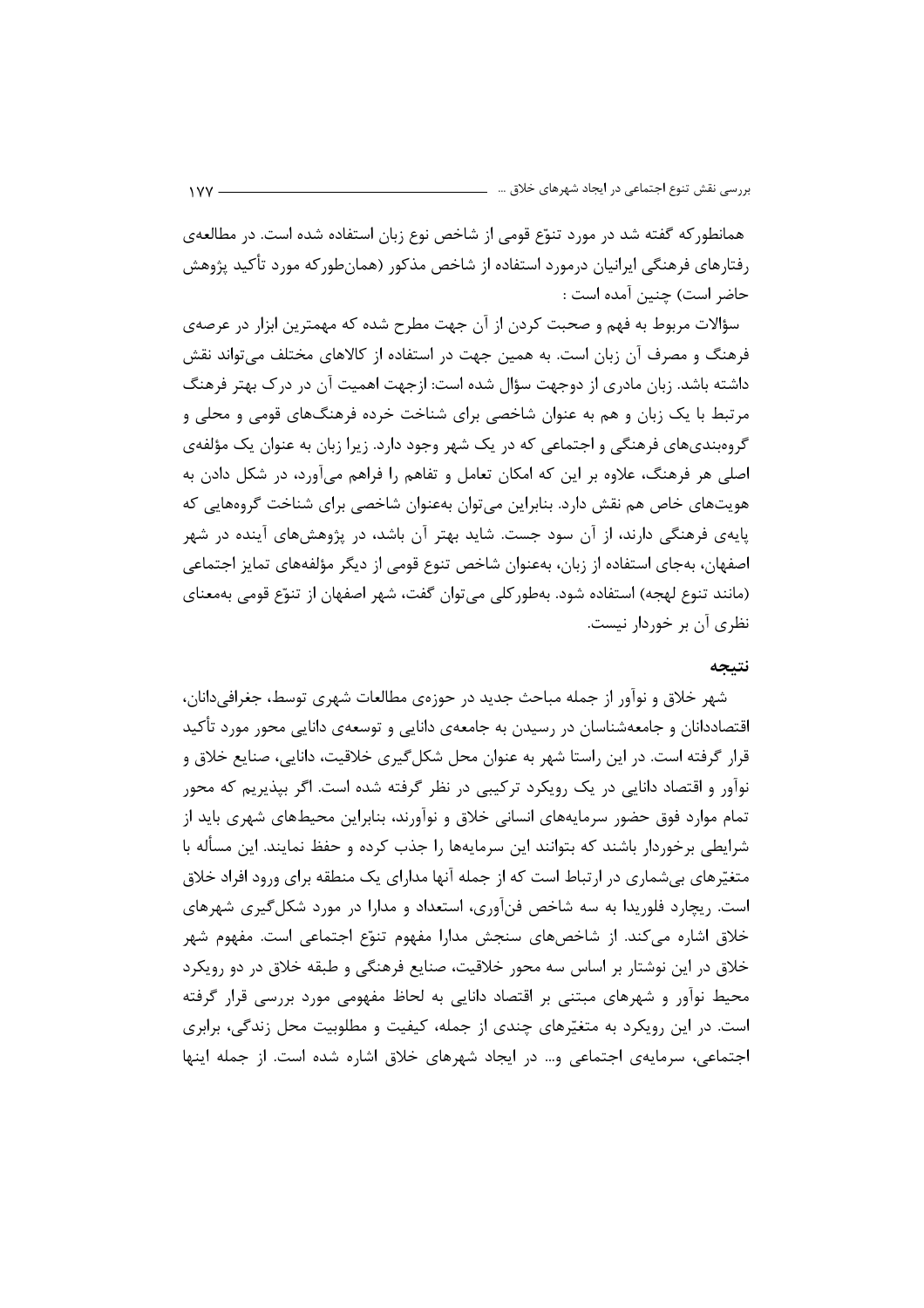همانطور که گفته شد در مورد تنوّع قومی از شاخص نوع زبان استفاده شده است. در مطالعهی رفتارهای فرهنگی ایرانیان درمورد استفاده از شاخص مذکور (همانطورکه مورد تأکید پژوهش حاضر است) چنین آمده است :

سؤالات مربوط به فهم و صحبت کردن از آن جهت مطرح شده که مهمترین ابزار در عرصهی فرهنگ و مصرف آن زبان است. به همین جهت در استفاده از کالاهای مختلف می تواند نقش داشته باشد. زبان مادری از دوجهت سؤال شده است: ازجهت اهمیت آن در در ک بهتر فرهنگ مرتبط با یک زبان و هم به عنوان شاخصی برای شناخت خرده فرهنگهای قومی و محلی و گروهبندیهای فرهنگی و اجتماعی که در یک شهر وجود دارد. زیرا زبان به عنوان یک مؤلفهی اصلي هر فرهنگ، علاوه بر اين كه امكان تعامل و تفاهم را فراهم مي آورد، در شكل دادن به هویتهای خاص هم نقش دارد. بنابراین می توان بهعنوان شاخصی برای شناخت گروههایی که یایهی فرهنگی دارند، از آن سود جست. شاید بهتر آن باشد، در پژوهشهای آینده در شهر اصفهان، بهجای استفاده از زبان، بهعنوان شاخص تنوع قومی از دیگر مؤلفههای تمایز اجتماعی (مانند تنوع لهجه) استفاده شود. بهطوركلي مي توان گفت، شهر اصفهان از تنوّع قومي بهمعناي نظری آن بر خوردار نیست.

#### نتىجە

شهر خلاق و نوآور از جمله مباحث جدید در حوزهی مطالعات شهری توسط، جغرافی دانان، اقتصاددانان و جامعهشناسان در رسیدن به جامعهی دانایی و توسعهی دانایی محور مورد تأکید قرار گرفته است. در این راستا شهر به عنوان محل شکل گیری خلاقیت، دانایی، صنایع خلاق و نوآور و اقتصاد دانایی در یک رویکرد ترکیبی در نظر گرفته شده است. اگر بپذیریم که محور تمام موارد فوق حضور سرمایههای انسانی خلاق و نوآورند، بنابراین محیطهای شهری باید از شرایطی برخوردار باشند که بتوانند این سرمایهها را جذب کرده و حفظ نمایند. این مسأله با متغیّرهای بیشماری در ارتباط است که از جمله آنها مدارای یک منطقه برای ورود افراد خلاق است. ریچارد فلوریدا به سه شاخص فنآوری، استعداد و مدارا در مورد شکل گیری شهرهای خلاق اشاره میکند. از شاخصهای سنجش مدارا مفهوم تنوّع اجتماعی است. مفهوم شهر خلاق در این نوشتار بر اساس سه محور خلاقیت، صنایع فرهنگی و طبقه خلاق در دو رویکرد محیط نوآور و شهرهای مبتنی بر اقتصاد دانایی به لحاظ مفهومی مورد بررسی قرار گرفته است. در این رویکرد به متغیّرهای چندی از جمله، کیفیت و مطلوبیت محل زندگی، برابری اجتماعی، سرمایهی اجتماعی و… در ایجاد شهرهای خلاق اشاره شده است. از جمله اینها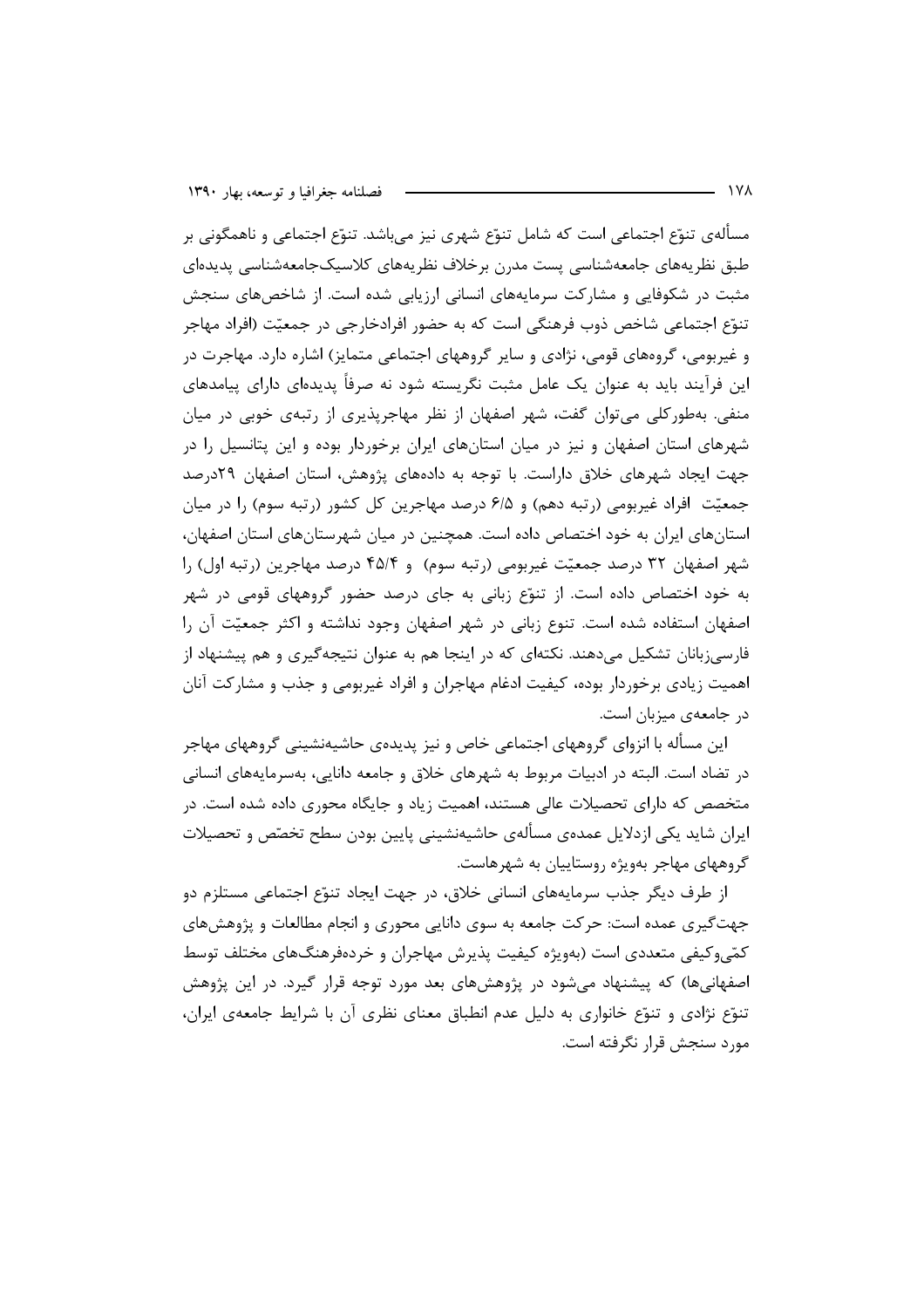مسألهي تنوّع اجتماعي است كه شامل تنوّع شهري نيز ميباشد. تنوّع اجتماعي و ناهمگوني بر طبق نظریههای جامعهشناسی پست مدرن برخلاف نظریههای کلاسیکجامعهشناسی پدیدهای مثبت در شکوفایی و مشارکت سرمایههای انسانی ارزیابی شده است. از شاخصهای سنجش تنوّع اجتماعی شاخص ذوب فرهنگی است که به حضور افرادخارجی در جمعیّت (افراد مهاجر و غیربومی، گروههای قومی، نژادی و سایر گروههای اجتماعی متمایز) اشاره دارد. مهاجرت در این فرآیند باید به عنوان یک عامل مثبت نگریسته شود نه صرفاً پدیدهای دارای پیامدهای منفی. بهطورکلی می توان گفت، شهر اصفهان از نظر مهاجرپذیری از رتبهی خوبی در میان شهرهای استان اصفهان و نیز در میان استانهای ایران برخوردار بوده و این پتانسیل را در جهت ایجاد شهرهای خلاق داراست. با توجه به دادههای پژوهش، استان اصفهان ۲۹درصد جمعیّت افراد غیربومی (رتبه دهم) و ۶۱۵ درصد مهاجرین کل کشور (رتبه سوم) را در میان استانهای ایران به خود اختصاص داده است. همچنین در میان شهرستانهای استان اصفهان، شهر اصفهان ٣٢ درصد جمعيّت غيربومي (رتبه سوم) و ۴۵/۴ درصد مهاجرين (رتبه اول) را به خود اختصاص داده است. از تنوّع زبانی به جای درصد حضور گروههای قومی در شهر اصفهان استفاده شده است. تنوع زبانی در شهر اصفهان وجود نداشته و اکثر جمعیّت آن را فارسی;بانان تشکیل می،دهند. نکتهای که در اینجا هم به عنوان نتیجهگیری و هم پیشنهاد از اهمیت زیادی برخوردار بوده، کیفیت ادغام مهاجران و افراد غیربومی و جذب و مشارکت آنان در جامعهی میزبان است.

این مسأله با انزوای گروههای اجتماعی خاص و نیز پدیدهی حاشیهنشینی گروههای مهاجر در تضاد است. البته در ادبیات مربوط به شهرهای خلاق و جامعه دانایی، بهسرمایههای انسانی متخصص که دارای تحصیلات عالی هستند، اهمیت زیاد و جایگاه محوری داده شده است. در ایران شاید یکی ازدلایل عمدهی مسألهی حاشیهنشینی پایین بودن سطح تخصّص و تحصیلات گروههای مهاجر بهویژه روستاییان به شهرهاست.

از طرف دیگر جذب سرمایههای انسانی خلاق، در جهت ایجاد تنوّع اجتماعی مستلزم دو جهت گیری عمده است: حرکت جامعه به سوی دانایی محوری و انجام مطالعات و پژوهشهای کمّیوکیفی متعددی است (بهویژه کیفیت پذیرش مهاجران و خردهفرهنگهای مختلف توسط اصفهانیها) که پیشنهاد میشود در پژوهشهای بعد مورد توجه قرار گیرد. در این پژوهش تنوَّع نژادی و تنوَّع خانواری به دلیل عدم انطباق معنای نظری آن با شرایط جامعهی ایران، مورد سنجش قرار نگرفته است.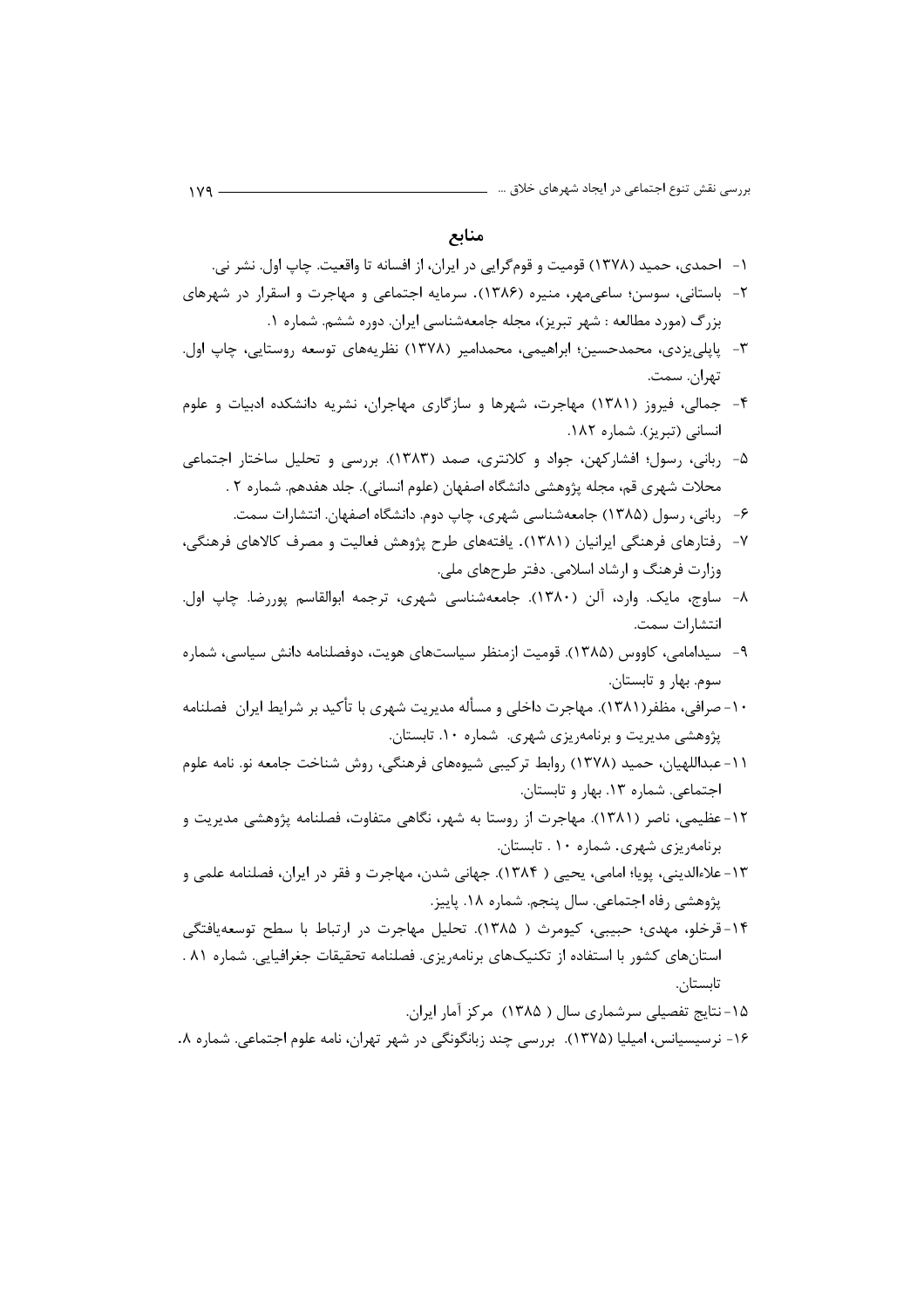منابع

- ۱– احمدی، حمید (۱۳۷۸) قومیت و قومگرایی در ایران، از افسانه تا واقعیت. چاپ اول. نشر نی.
- ۲- باستانی، سوسن؛ ساعیمهر، منیره (۱۳۸۶). سرمایه اجتماعی و مهاجرت و اسقرار در شهرهای بزرگ (مورد مطالعه : شهر تبریز)، مجله جامعهشناسی ایران. دوره ششم. شماره ۱.
- ٣- پایلی یزدی، محمدحسین؛ ابراهیمی، محمدامیر (١٣٧٨) نظریههای توسعه روستایی، چاپ اول. تهران. سمت.
- ۴- جمالی، فیروز (۱۳۸۱) مهاجرت، شهرها و سازگاری مهاجران، نشریه دانشکده ادبیات و علوم انسانی (تبریز). شماره ۱۸۲.
- ۵- ربانی، رسول؛ افشارکهن، جواد و کلانتری، صمد (۱۳۸۳). بررسی و تحلیل ساختار اجتماعی محلات شهري قم، مجله پژوهشي دانشگاه اصفهان (علوم انساني). جلد هفدهم. شماره ۲ .
	- ۶– ربانی، رسول (۱۳۸۵) جامعهشناسی شهری، چاپ دوم. دانشگاه اصفهان. انتشارات سمت.
- ۷– رفتارهای فرهنگی ایرانیان (۱۳۸۱). یافتههای طرح پژوهش فعالیت و مصرف کالاهای فرهنگی، وزارت فرهنگ و ارشاد اسلامی. دفتر طرحهای ملی.
- ٨- ساوج، مايک. وارد، آلن (١٣٨٠). جامعهشناسي شهري، ترجمه ابوالقاسم پوررضا. چاپ اول. انتشا, ات سمت.
- ۹- سیدامامی، کاووس (۱۳۸۵). قومیت ازمنظر سیاستهای هویت، دوفصلنامه دانش سیاسی، شماره سوم. بهار و تابستان.
- ۱۰–صرافی، مظفر(۱۳۸۱). مهاجرت داخلی و مسأله مدیریت شهری با تأکید بر شرایط ایران فصلنامه پژوهشی مدیریت و برنامهریزی شهری. شماره ۱۰. تابستان.
- ١١- عبداللهيان، حميد (١٣٧٨) روابط تركيبي شيوههاي فرهنگي، روش شناخت جامعه نو. نامه علوم اجتماعی. شماره ١٣. بهار و تابستان.
- ١٢- عظيمي، ناصر (١٣٨١). مهاجرت از روستا به شهر، نگاهي متفاوت، فصلنامه پژوهشي مديريت و برنامهریزی شهری. شماره ۱۰. تابستان.
- ١٣- علاءالديني، پويا؛ امامي، يحيى ( ١٣٨۴). جهاني شدن، مهاجرت و فقر در ايران، فصلنامه علمي و یژوهشی رفاه اجتماعی. سال پنجم. شماره ۱۸. پاییز.
- ۱۴-قرخلو، مهدی؛ حبیبی، کیومرث ( ۱۳۸۵). تحلیل مهاجرت در ارتباط با سطح توسعهیافتگی استانهای کشور با استفاده از تکنیکهای برنامهریزی. فصلنامه تحقیقات جغرافیایی. شماره ۸۱ . تابستان.
	- ۱۵-نتایج تفصیلی سرشماری سال ( ۱۳۸۵) مرکز آمار ایران.
- ۱۶- نرسیسیانس، امیلیا (۱۳۷۵). بررسی چند زبانگونگی در شهر تهران، نامه علوم اجتماعی. شماره ۸.